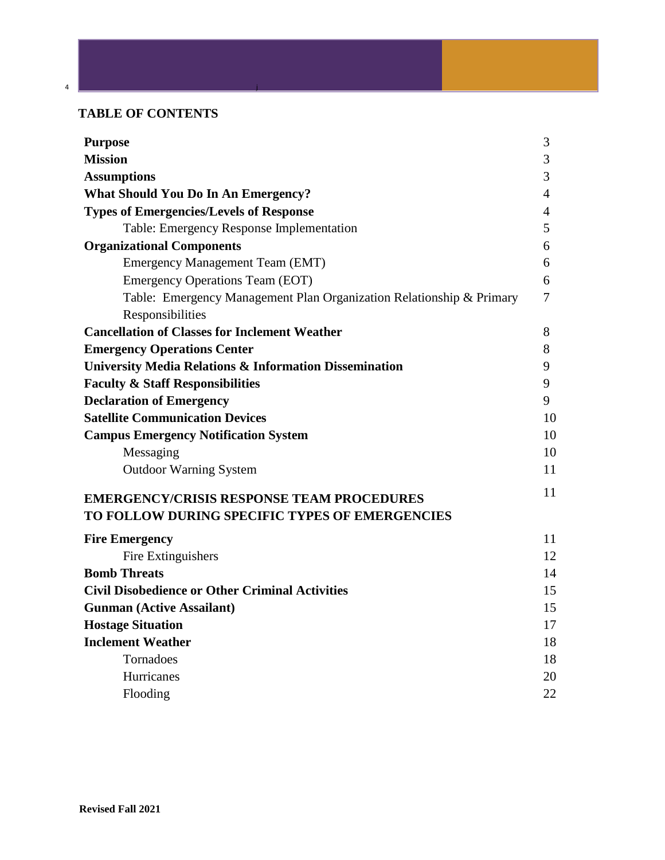# **TABLE OF CONTENTS**

4 j

| <b>Purpose</b>                                                       | 3              |
|----------------------------------------------------------------------|----------------|
| <b>Mission</b>                                                       | 3              |
| <b>Assumptions</b>                                                   | 3              |
| <b>What Should You Do In An Emergency?</b>                           | $\overline{4}$ |
| <b>Types of Emergencies/Levels of Response</b>                       | $\overline{4}$ |
| Table: Emergency Response Implementation                             | 5              |
| <b>Organizational Components</b>                                     | 6              |
| Emergency Management Team (EMT)                                      | 6              |
| <b>Emergency Operations Team (EOT)</b>                               | 6              |
| Table: Emergency Management Plan Organization Relationship & Primary | 7              |
| Responsibilities                                                     |                |
| <b>Cancellation of Classes for Inclement Weather</b>                 | 8              |
| <b>Emergency Operations Center</b>                                   | 8              |
| <b>University Media Relations &amp; Information Dissemination</b>    | 9              |
| <b>Faculty &amp; Staff Responsibilities</b>                          | 9              |
| <b>Declaration of Emergency</b>                                      | 9              |
| <b>Satellite Communication Devices</b>                               | 10             |
| <b>Campus Emergency Notification System</b>                          | 10             |
| Messaging                                                            | 10             |
| <b>Outdoor Warning System</b>                                        | 11             |
| <b>EMERGENCY/CRISIS RESPONSE TEAM PROCEDURES</b>                     | 11             |
| TO FOLLOW DURING SPECIFIC TYPES OF EMERGENCIES                       |                |
| <b>Fire Emergency</b>                                                | 11             |
| Fire Extinguishers                                                   | 12             |
| <b>Bomb Threats</b>                                                  | 14             |
| <b>Civil Disobedience or Other Criminal Activities</b>               | 15             |
| <b>Gunman (Active Assailant)</b>                                     | 15             |
| <b>Hostage Situation</b>                                             | 17             |
| <b>Inclement Weather</b>                                             | 18             |
| Tornadoes                                                            | 18             |
| Hurricanes                                                           | 20             |
| Flooding                                                             | 22             |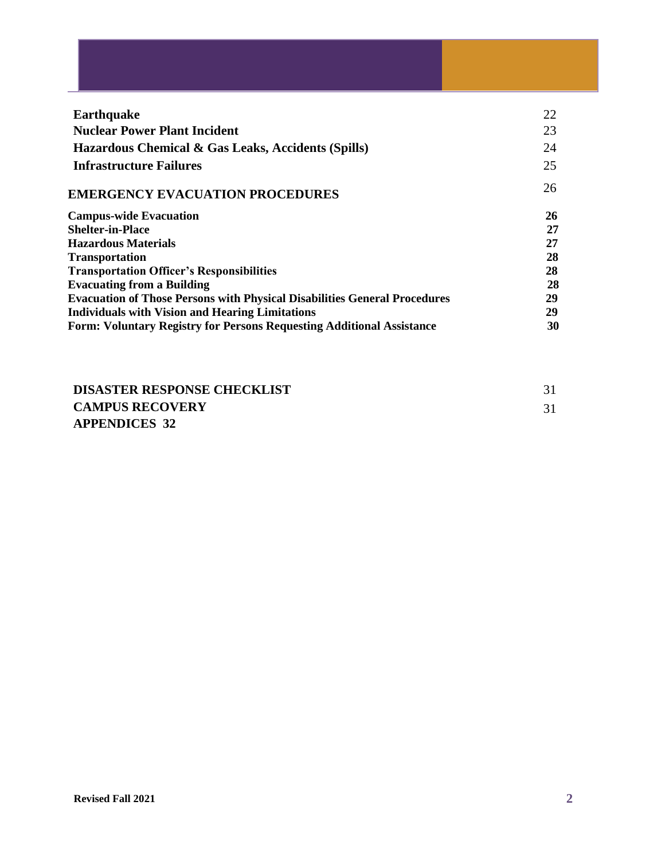| <b>Earthquake</b>                                                                | 22 |
|----------------------------------------------------------------------------------|----|
| <b>Nuclear Power Plant Incident</b>                                              | 23 |
| Hazardous Chemical & Gas Leaks, Accidents (Spills)                               | 24 |
| <b>Infrastructure Failures</b>                                                   | 25 |
| <b>EMERGENCY EVACUATION PROCEDURES</b>                                           | 26 |
| <b>Campus-wide Evacuation</b>                                                    | 26 |
| <b>Shelter-in-Place</b>                                                          | 27 |
| <b>Hazardous Materials</b>                                                       | 27 |
| <b>Transportation</b>                                                            | 28 |
| <b>Transportation Officer's Responsibilities</b>                                 | 28 |
| <b>Evacuating from a Building</b>                                                | 28 |
| <b>Evacuation of Those Persons with Physical Disabilities General Procedures</b> | 29 |
| <b>Individuals with Vision and Hearing Limitations</b>                           | 29 |
| <b>Form: Voluntary Registry for Persons Requesting Additional Assistance</b>     | 30 |

| <b>DISASTER RESPONSE CHECKLIST</b> |  |
|------------------------------------|--|
| <b>CAMPUS RECOVERY</b>             |  |
| <b>APPENDICES 32</b>               |  |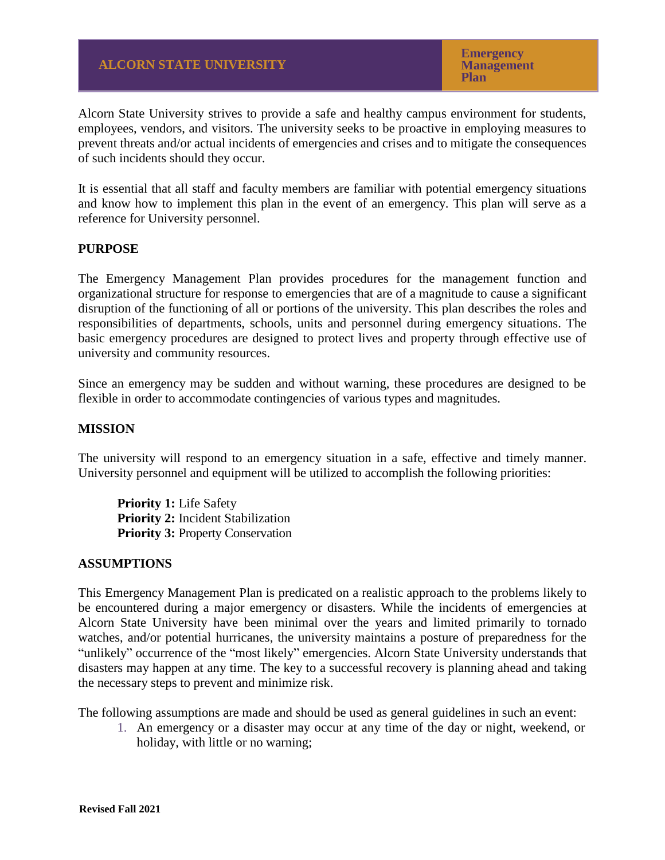**Emergency Management Plan**

Alcorn State University strives to provide a safe and healthy campus environment for students, employees, vendors, and visitors. The university seeks to be proactive in employing measures to prevent threats and/or actual incidents of emergencies and crises and to mitigate the consequences of such incidents should they occur.

It is essential that all staff and faculty members are familiar with potential emergency situations and know how to implement this plan in the event of an emergency. This plan will serve as a reference for University personnel.

#### **PURPOSE**

The Emergency Management Plan provides procedures for the management function and organizational structure for response to emergencies that are of a magnitude to cause a significant disruption of the functioning of all or portions of the university. This plan describes the roles and responsibilities of departments, schools, units and personnel during emergency situations. The basic emergency procedures are designed to protect lives and property through effective use of university and community resources.

Since an emergency may be sudden and without warning, these procedures are designed to be flexible in order to accommodate contingencies of various types and magnitudes.

#### **MISSION**

The university will respond to an emergency situation in a safe, effective and timely manner. University personnel and equipment will be utilized to accomplish the following priorities:

**Priority 1:** Life Safety **Priority 2:** Incident Stabilization **Priority 3: Property Conservation** 

#### **ASSUMPTIONS**

This Emergency Management Plan is predicated on a realistic approach to the problems likely to be encountered during a major emergency or disasters. While the incidents of emergencies at Alcorn State University have been minimal over the years and limited primarily to tornado watches, and/or potential hurricanes, the university maintains a posture of preparedness for the "unlikely" occurrence of the "most likely" emergencies. Alcorn State University understands that disasters may happen at any time. The key to a successful recovery is planning ahead and taking the necessary steps to prevent and minimize risk.

The following assumptions are made and should be used as general guidelines in such an event:

1. An emergency or a disaster may occur at any time of the day or night, weekend, or holiday, with little or no warning;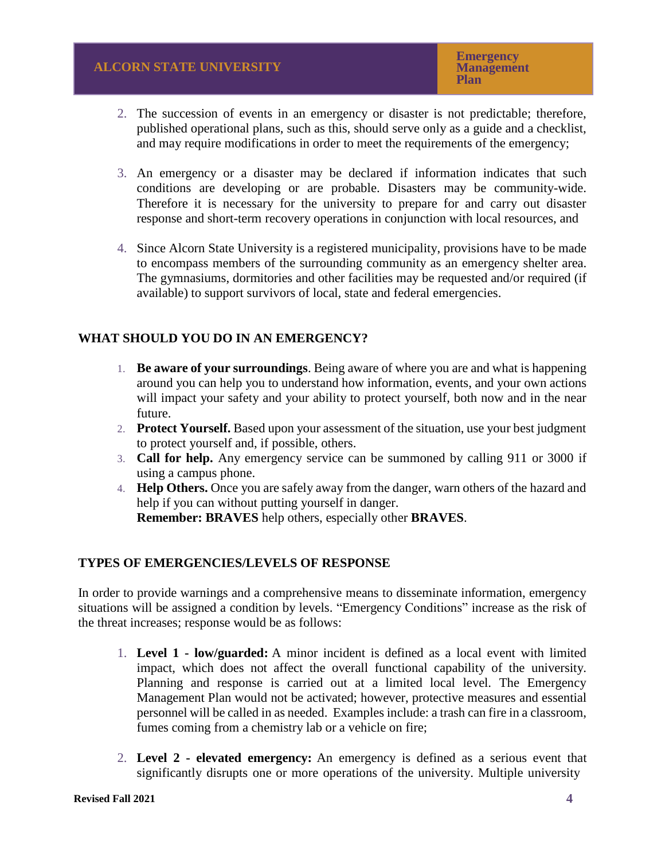- 2. The succession of events in an emergency or disaster is not predictable; therefore, published operational plans, such as this, should serve only as a guide and a checklist, and may require modifications in order to meet the requirements of the emergency;
- 3. An emergency or a disaster may be declared if information indicates that such conditions are developing or are probable. Disasters may be community-wide. Therefore it is necessary for the university to prepare for and carry out disaster response and short-term recovery operations in conjunction with local resources, and
- 4. Since Alcorn State University is a registered municipality, provisions have to be made to encompass members of the surrounding community as an emergency shelter area. The gymnasiums, dormitories and other facilities may be requested and/or required (if available) to support survivors of local, state and federal emergencies.

# **WHAT SHOULD YOU DO IN AN EMERGENCY?**

- 1. **Be aware of your surroundings**. Being aware of where you are and what is happening around you can help you to understand how information, events, and your own actions will impact your safety and your ability to protect yourself, both now and in the near future.
- 2. **Protect Yourself.** Based upon your assessment of the situation, use your best judgment to protect yourself and, if possible, others.
- 3. **Call for help.** Any emergency service can be summoned by calling 911 or 3000 if using a campus phone.
- 4. **Help Others.** Once you are safely away from the danger, warn others of the hazard and help if you can without putting yourself in danger. **Remember: BRAVES** help others, especially other **BRAVES**.

## **TYPES OF EMERGENCIES/LEVELS OF RESPONSE**

In order to provide warnings and a comprehensive means to disseminate information, emergency situations will be assigned a condition by levels. "Emergency Conditions" increase as the risk of the threat increases; response would be as follows:

- 1. **Level 1 - low/guarded:** A minor incident is defined as a local event with limited impact, which does not affect the overall functional capability of the university. Planning and response is carried out at a limited local level. The Emergency Management Plan would not be activated; however, protective measures and essential personnel will be called in as needed. Examples include: a trash can fire in a classroom, fumes coming from a chemistry lab or a vehicle on fire;
- 2. **Level 2 - elevated emergency:** An emergency is defined as a serious event that significantly disrupts one or more operations of the university. Multiple university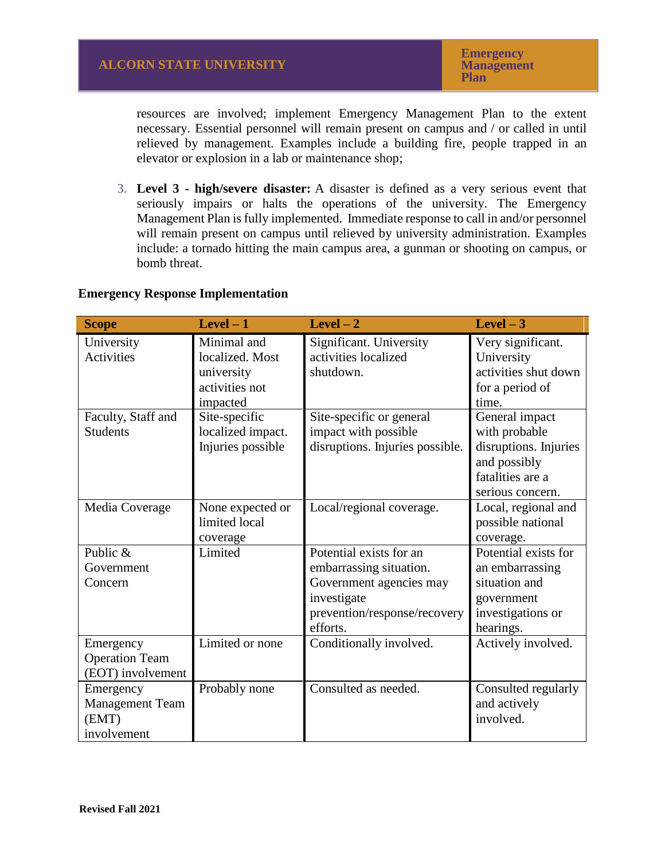resources are involved; implement Emergency Management Plan to the extent necessary. Essential personnel will remain present on campus and / or called in until relieved by management. Examples include a building fire, people trapped in an elevator or explosion in a lab or maintenance shop;

3. **Level 3 - high/severe disaster:** A disaster is defined as a very serious event that seriously impairs or halts the operations of the university. The Emergency Management Plan is fully implemented. Immediate response to call in and/or personnel will remain present on campus until relieved by university administration. Examples include: a tornado hitting the main campus area, a gunman or shooting on campus, or bomb threat.

| <b>Scope</b>           | $Level-1$         | $Level-2$                       | $Level-3$             |
|------------------------|-------------------|---------------------------------|-----------------------|
| University             | Minimal and       | Significant. University         | Very significant.     |
| Activities             | localized. Most   | activities localized            | University            |
|                        | university        | shutdown.                       | activities shut down  |
|                        | activities not    |                                 | for a period of       |
|                        | impacted          |                                 | time.                 |
| Faculty, Staff and     | Site-specific     | Site-specific or general        | General impact        |
| <b>Students</b>        | localized impact. | impact with possible            | with probable         |
|                        | Injuries possible | disruptions. Injuries possible. | disruptions. Injuries |
|                        |                   |                                 | and possibly          |
|                        |                   |                                 | fatalities are a      |
|                        |                   |                                 | serious concern.      |
| Media Coverage         | None expected or  | Local/regional coverage.        | Local, regional and   |
|                        | limited local     |                                 | possible national     |
|                        | coverage          |                                 | coverage.             |
| Public &               | Limited           | Potential exists for an         | Potential exists for  |
| Government             |                   | embarrassing situation.         | an embarrassing       |
| Concern                |                   | Government agencies may         | situation and         |
|                        |                   | investigate                     | government            |
|                        |                   | prevention/response/recovery    | investigations or     |
|                        |                   | efforts.                        | hearings.             |
| Emergency              | Limited or none   | Conditionally involved.         | Actively involved.    |
| <b>Operation Team</b>  |                   |                                 |                       |
| (EOT) involvement      |                   |                                 |                       |
| Emergency              | Probably none     | Consulted as needed.            | Consulted regularly   |
| <b>Management Team</b> |                   |                                 | and actively          |
| (EMT)                  |                   |                                 | involved.             |
| involvement            |                   |                                 |                       |

#### **Emergency Response Implementation**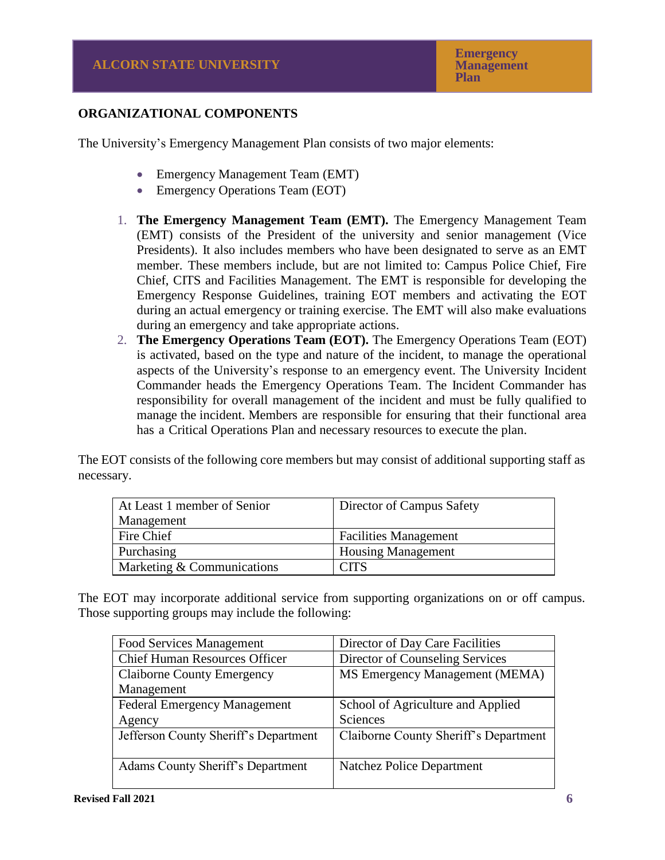# **ORGANIZATIONAL COMPONENTS**

The University's Emergency Management Plan consists of two major elements:

- Emergency Management Team (EMT)
- Emergency Operations Team (EOT)
- 1. **The Emergency Management Team (EMT).** The Emergency Management Team (EMT) consists of the President of the university and senior management (Vice Presidents). It also includes members who have been designated to serve as an EMT member. These members include, but are not limited to: Campus Police Chief, Fire Chief, CITS and Facilities Management. The EMT is responsible for developing the Emergency Response Guidelines, training EOT members and activating the EOT during an actual emergency or training exercise. The EMT will also make evaluations during an emergency and take appropriate actions.
- 2. **The Emergency Operations Team (EOT).** The Emergency Operations Team (EOT) is activated, based on the type and nature of the incident, to manage the operational aspects of the University's response to an emergency event. The University Incident Commander heads the Emergency Operations Team. The Incident Commander has responsibility for overall management of the incident and must be fully qualified to manage the incident. Members are responsible for ensuring that their functional area has a Critical Operations Plan and necessary resources to execute the plan.

The EOT consists of the following core members but may consist of additional supporting staff as necessary.

| At Least 1 member of Senior | Director of Campus Safety    |
|-----------------------------|------------------------------|
| Management                  |                              |
| Fire Chief                  | <b>Facilities Management</b> |
| Purchasing                  | <b>Housing Management</b>    |
| Marketing & Communications  | CITS                         |

The EOT may incorporate additional service from supporting organizations on or off campus. Those supporting groups may include the following:

| Food Services Management                 | Director of Day Care Facilities       |
|------------------------------------------|---------------------------------------|
| <b>Chief Human Resources Officer</b>     | Director of Counseling Services       |
| <b>Claiborne County Emergency</b>        | MS Emergency Management (MEMA)        |
| Management                               |                                       |
| Federal Emergency Management             | School of Agriculture and Applied     |
| Agency                                   | Sciences                              |
| Jefferson County Sheriff's Department    | Claiborne County Sheriff's Department |
|                                          |                                       |
| <b>Adams County Sheriff's Department</b> | Natchez Police Department             |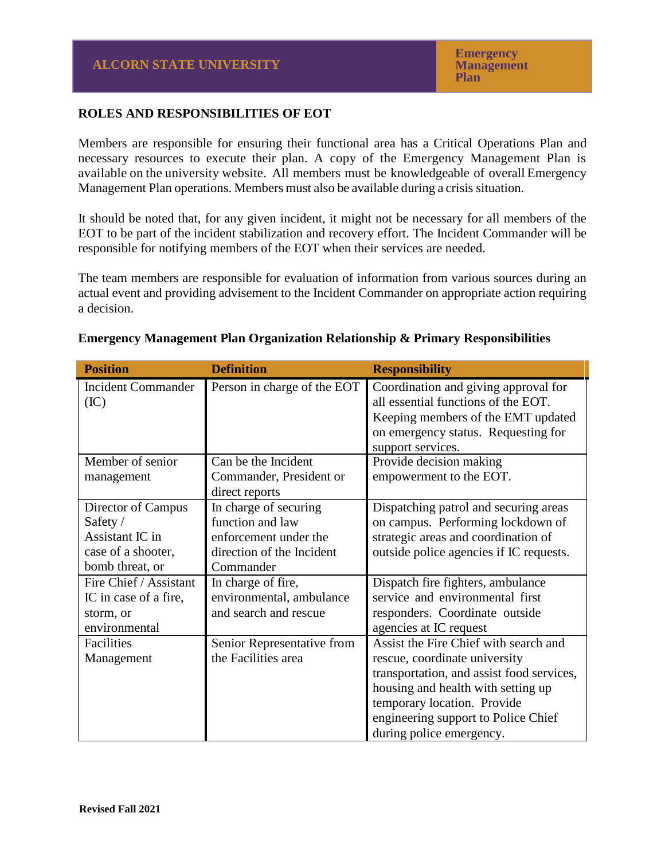# **ROLES AND RESPONSIBILITIES OF EOT**

Members are responsible for ensuring their functional area has a Critical Operations Plan and necessary resources to execute their plan. A copy of the Emergency Management Plan is available on the university website. All members must be knowledgeable of overall Emergency Management Plan operations. Members must also be available during a crisis situation.

It should be noted that, for any given incident, it might not be necessary for all members of the EOT to be part of the incident stabilization and recovery effort. The Incident Commander will be responsible for notifying members of the EOT when their services are needed.

The team members are responsible for evaluation of information from various sources during an actual event and providing advisement to the Incident Commander on appropriate action requiring a decision.

| <b>Position</b>           | <b>Definition</b>           | <b>Responsibility</b>                     |
|---------------------------|-----------------------------|-------------------------------------------|
| <b>Incident Commander</b> | Person in charge of the EOT | Coordination and giving approval for      |
| (IC)                      |                             | all essential functions of the EOT.       |
|                           |                             | Keeping members of the EMT updated        |
|                           |                             | on emergency status. Requesting for       |
|                           |                             | support services.                         |
| Member of senior          | Can be the Incident         | Provide decision making                   |
| management                | Commander, President or     | empowerment to the EOT.                   |
|                           | direct reports              |                                           |
| Director of Campus        | In charge of securing       | Dispatching patrol and securing areas     |
| Safety /                  | function and law            | on campus. Performing lockdown of         |
| Assistant IC in           | enforcement under the       | strategic areas and coordination of       |
| case of a shooter,        | direction of the Incident   | outside police agencies if IC requests.   |
| bomb threat, or           | Commander                   |                                           |
| Fire Chief / Assistant    | In charge of fire,          | Dispatch fire fighters, ambulance         |
| IC in case of a fire,     | environmental, ambulance    | service and environmental first           |
| storm, or                 | and search and rescue       | responders. Coordinate outside            |
| environmental             |                             | agencies at IC request                    |
| Facilities                | Senior Representative from  | Assist the Fire Chief with search and     |
| Management                | the Facilities area         | rescue, coordinate university             |
|                           |                             | transportation, and assist food services, |
|                           |                             | housing and health with setting up        |
|                           |                             | temporary location. Provide               |
|                           |                             | engineering support to Police Chief       |
|                           |                             | during police emergency.                  |

#### **Emergency Management Plan Organization Relationship & Primary Responsibilities**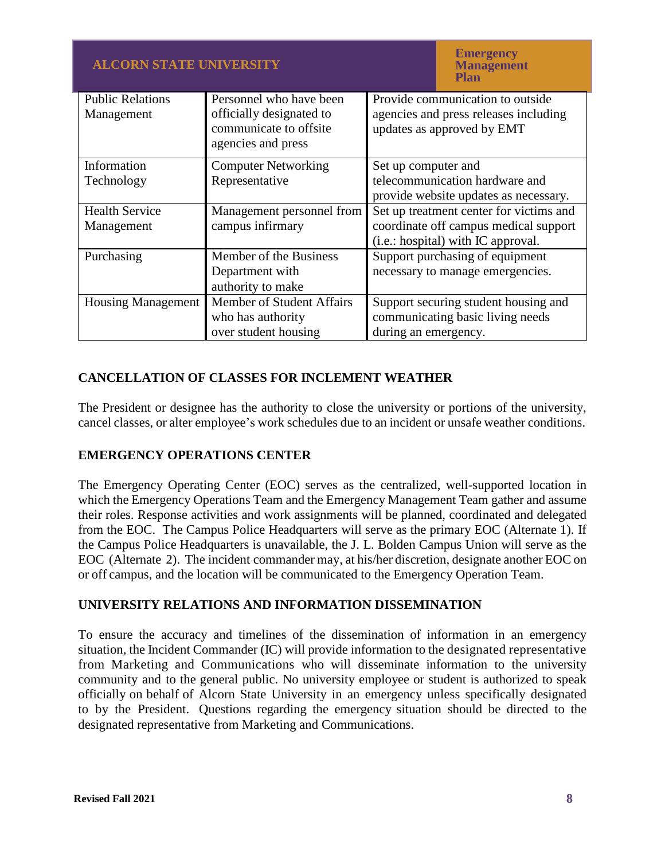| <b>ALCORN STATE UNIVERSITY</b>        |                                                     |                                                                           | <b>Emergency</b><br><b>Management</b><br>Plan |
|---------------------------------------|-----------------------------------------------------|---------------------------------------------------------------------------|-----------------------------------------------|
| <b>Public Relations</b><br>Management | Personnel who have been<br>officially designated to | Provide communication to outside<br>agencies and press releases including |                                               |
|                                       | communicate to offsite<br>agencies and press        | updates as approved by EMT                                                |                                               |
| Information                           | <b>Computer Networking</b>                          | Set up computer and                                                       |                                               |
| Technology                            | Representative                                      | telecommunication hardware and                                            |                                               |
|                                       |                                                     | provide website updates as necessary.                                     |                                               |
| <b>Health Service</b>                 | Management personnel from                           | Set up treatment center for victims and                                   |                                               |
| Management                            | campus infirmary                                    | coordinate off campus medical support                                     |                                               |
|                                       |                                                     |                                                                           | (i.e.: hospital) with IC approval.            |
| Purchasing                            | Member of the Business                              |                                                                           | Support purchasing of equipment               |
|                                       | Department with                                     | necessary to manage emergencies.                                          |                                               |
|                                       | authority to make                                   |                                                                           |                                               |
| <b>Housing Management</b>             | Member of Student Affairs                           |                                                                           | Support securing student housing and          |
|                                       | who has authority                                   | communicating basic living needs                                          |                                               |
|                                       | over student housing                                | during an emergency.                                                      |                                               |

# **CANCELLATION OF CLASSES FOR INCLEMENT WEATHER**

The President or designee has the authority to close the university or portions of the university, cancel classes, or alter employee's work schedules due to an incident or unsafe weather conditions.

# **EMERGENCY OPERATIONS CENTER**

The Emergency Operating Center (EOC) serves as the centralized, well-supported location in which the Emergency Operations Team and the Emergency Management Team gather and assume their roles. Response activities and work assignments will be planned, coordinated and delegated from the EOC. The Campus Police Headquarters will serve as the primary EOC (Alternate 1). If the Campus Police Headquarters is unavailable, the J. L. Bolden Campus Union will serve as the EOC (Alternate 2). The incident commander may, at his/her discretion, designate another EOC on or off campus, and the location will be communicated to the Emergency Operation Team.

## **UNIVERSITY RELATIONS AND INFORMATION DISSEMINATION**

To ensure the accuracy and timelines of the dissemination of information in an emergency situation, the Incident Commander (IC) will provide information to the designated representative from Marketing and Communications who will disseminate information to the university community and to the general public. No university employee or student is authorized to speak officially on behalf of Alcorn State University in an emergency unless specifically designated to by the President. Questions regarding the emergency situation should be directed to the designated representative from Marketing and Communications.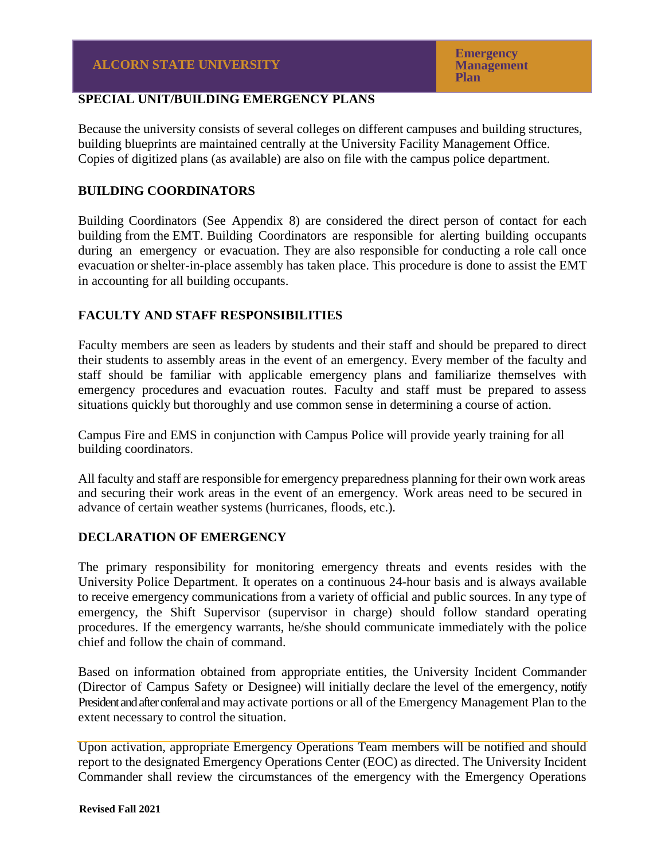# **SPECIAL UNIT/BUILDING EMERGENCY PLANS**

Because the university consists of several colleges on different campuses and building structures, building blueprints are maintained centrally at the University Facility Management Office. Copies of digitized plans (as available) are also on file with the campus police department.

# **BUILDING COORDINATORS**

Building Coordinators (See Appendix 8) are considered the direct person of contact for each building from the EMT. Building Coordinators are responsible for alerting building occupants during an emergency or evacuation. They are also responsible for conducting a role call once evacuation or shelter-in-place assembly has taken place. This procedure is done to assist the EMT in accounting for all building occupants.

# **FACULTY AND STAFF RESPONSIBILITIES**

Faculty members are seen as leaders by students and their staff and should be prepared to direct their students to assembly areas in the event of an emergency. Every member of the faculty and staff should be familiar with applicable emergency plans and familiarize themselves with emergency procedures and evacuation routes. Faculty and staff must be prepared to assess situations quickly but thoroughly and use common sense in determining a course of action.

Campus Fire and EMS in conjunction with Campus Police will provide yearly training for all building coordinators.

All faculty and staff are responsible for emergency preparedness planning for their own work areas and securing their work areas in the event of an emergency. Work areas need to be secured in advance of certain weather systems (hurricanes, floods, etc.).

# **DECLARATION OF EMERGENCY**

The primary responsibility for monitoring emergency threats and events resides with the University Police Department. It operates on a continuous 24-hour basis and is always available to receive emergency communications from a variety of official and public sources. In any type of emergency, the Shift Supervisor (supervisor in charge) should follow standard operating procedures. If the emergency warrants, he/she should communicate immediately with the police chief and follow the chain of command.

Based on information obtained from appropriate entities, the University Incident Commander (Director of Campus Safety or Designee) will initially declare the level of the emergency, notify President and after conferral and may activate portions or all of the Emergency Management Plan to the extent necessary to control the situation.

Upon activation, appropriate Emergency Operations Team members will be notified and should report to the designated Emergency Operations Center (EOC) as directed. The University Incident Commander shall review the circumstances of the emergency with the Emergency Operations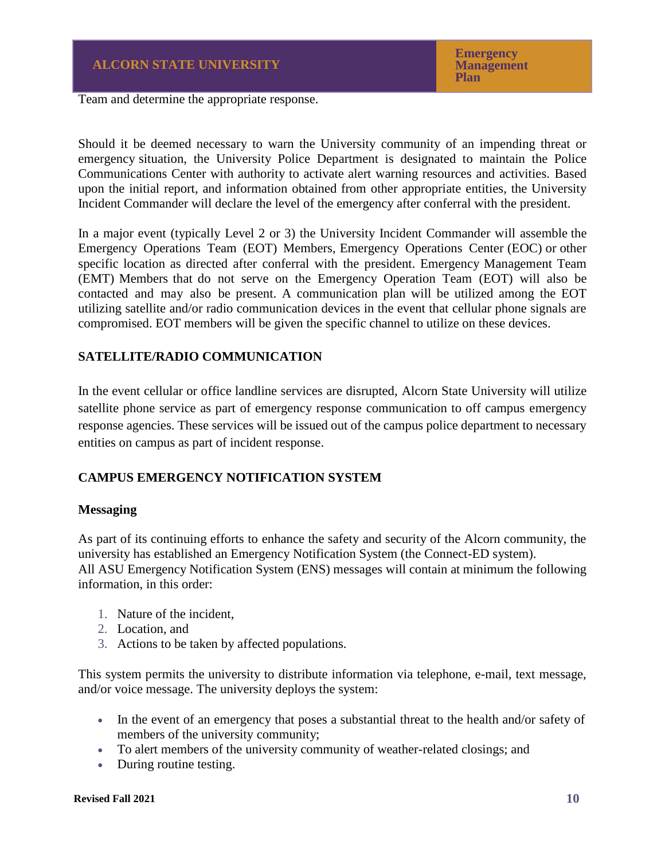Team and determine the appropriate response.

Should it be deemed necessary to warn the University community of an impending threat or emergency situation, the University Police Department is designated to maintain the Police Communications Center with authority to activate alert warning resources and activities. Based upon the initial report, and information obtained from other appropriate entities, the University Incident Commander will declare the level of the emergency after conferral with the president.

In a major event (typically Level 2 or 3) the University Incident Commander will assemble the Emergency Operations Team (EOT) Members, Emergency Operations Center (EOC) or other specific location as directed after conferral with the president. Emergency Management Team (EMT) Members that do not serve on the Emergency Operation Team (EOT) will also be contacted and may also be present. A communication plan will be utilized among the EOT utilizing satellite and/or radio communication devices in the event that cellular phone signals are compromised. EOT members will be given the specific channel to utilize on these devices.

# **SATELLITE/RADIO COMMUNICATION**

In the event cellular or office landline services are disrupted, Alcorn State University will utilize satellite phone service as part of emergency response communication to off campus emergency response agencies. These services will be issued out of the campus police department to necessary entities on campus as part of incident response.

## **CAMPUS EMERGENCY NOTIFICATION SYSTEM**

#### **Messaging**

As part of its continuing efforts to enhance the safety and security of the Alcorn community, the university has established an Emergency Notification System (the Connect-ED system). All ASU Emergency Notification System (ENS) messages will contain at minimum the following information, in this order:

- 1. Nature of the incident,
- 2. Location, and
- 3. Actions to be taken by affected populations.

This system permits the university to distribute information via telephone, e-mail, text message, and/or voice message. The university deploys the system:

- In the event of an emergency that poses a substantial threat to the health and/or safety of members of the university community;
- To alert members of the university community of weather-related closings; and
- During routine testing.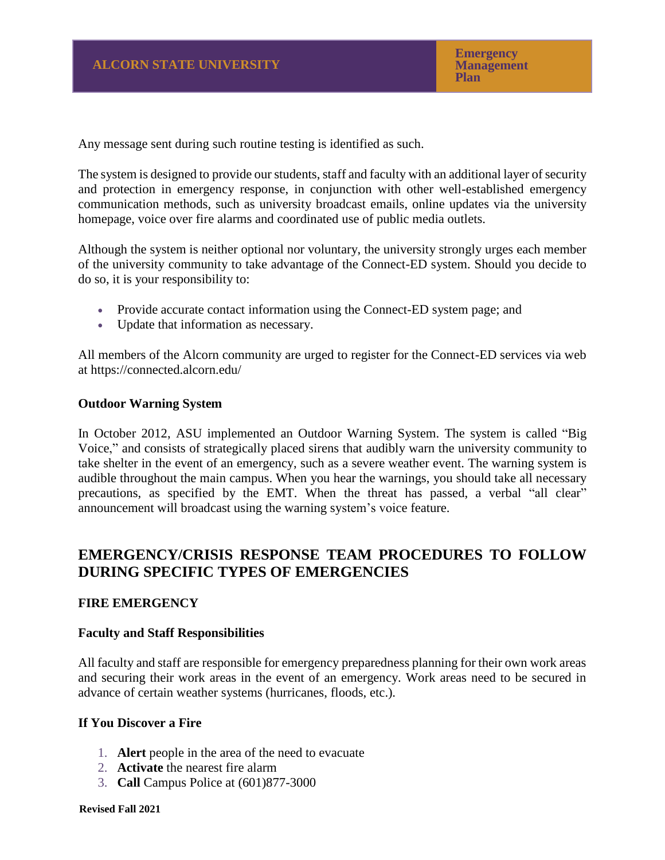Any message sent during such routine testing is identified as such.

The system is designed to provide our students, staff and faculty with an additional layer of security and protection in emergency response, in conjunction with other well-established emergency communication methods, such as university broadcast emails, online updates via the university homepage, voice over fire alarms and coordinated use of public media outlets.

Although the system is neither optional nor voluntary, the university strongly urges each member of the university community to take advantage of the Connect-ED system. Should you decide to do so, it is your responsibility to:

- Provide accurate contact information using the Connect-ED system page; and
- Update that information as necessary.

All members of the Alcorn community are urged to register for the Connect-ED services via web at [https://connected.alcorn.edu/](https://connected.alcorn.edu/default.asp)

#### **Outdoor Warning System**

In October 2012, ASU implemented an Outdoor Warning System. The system is called "Big Voice," and consists of strategically placed sirens that audibly warn the university community to take shelter in the event of an emergency, such as a severe weather event. The warning system is audible throughout the main campus. When you hear the warnings, you should take all necessary precautions, as specified by the EMT. When the threat has passed, a verbal "all clear" announcement will broadcast using the warning system's voice feature.

# **EMERGENCY/CRISIS RESPONSE TEAM PROCEDURES TO FOLLOW DURING SPECIFIC TYPES OF EMERGENCIES**

## **FIRE EMERGENCY**

#### **Faculty and Staff Responsibilities**

All faculty and staff are responsible for emergency preparedness planning for their own work areas and securing their work areas in the event of an emergency. Work areas need to be secured in advance of certain weather systems (hurricanes, floods, etc.).

#### **If You Discover a Fire**

- 1. **Alert** people in the area of the need to evacuate
- 2. **Activate** the nearest fire alarm
- 3. **Call** Campus Police at (601)877-3000

#### **Revised Fall 2021**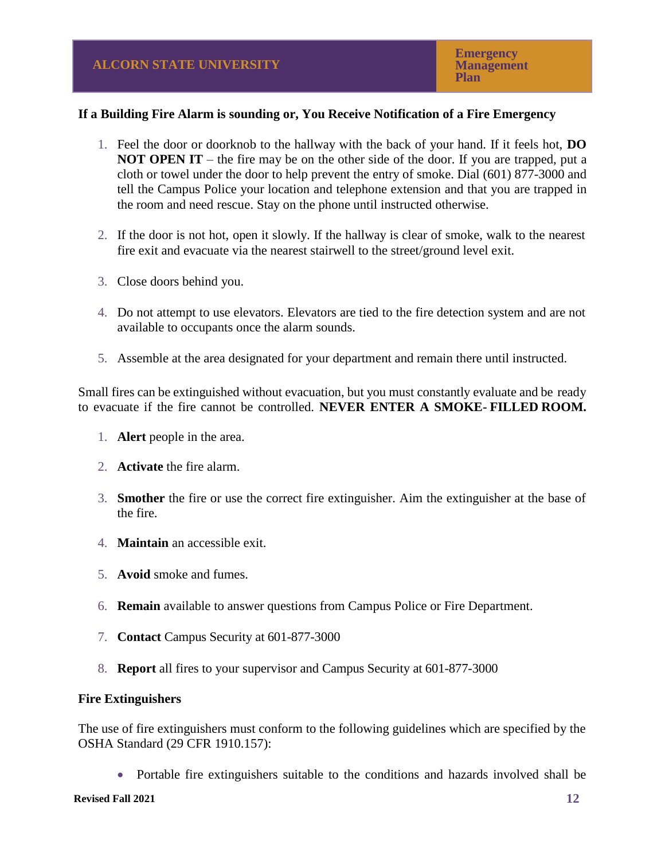# **If a Building Fire Alarm is sounding or, You Receive Notification of a Fire Emergency**

- 1. Feel the door or doorknob to the hallway with the back of your hand. If it feels hot, **DO NOT OPEN IT** – the fire may be on the other side of the door. If you are trapped, put a cloth or towel under the door to help prevent the entry of smoke. Dial (601) 877-3000 and tell the Campus Police your location and telephone extension and that you are trapped in the room and need rescue. Stay on the phone until instructed otherwise.
- 2. If the door is not hot, open it slowly. If the hallway is clear of smoke, walk to the nearest fire exit and evacuate via the nearest stairwell to the street/ground level exit.
- 3. Close doors behind you.
- 4. Do not attempt to use elevators. Elevators are tied to the fire detection system and are not available to occupants once the alarm sounds.
- 5. Assemble at the area designated for your department and remain there until instructed.

Small fires can be extinguished without evacuation, but you must constantly evaluate and be ready to evacuate if the fire cannot be controlled. **NEVER ENTER A SMOKE- FILLED ROOM.**

- 1. **Alert** people in the area.
- 2. **Activate** the fire alarm.
- 3. **Smother** the fire or use the correct fire extinguisher. Aim the extinguisher at the base of the fire.
- 4. **Maintain** an accessible exit.
- 5. **Avoid** smoke and fumes.
- 6. **Remain** available to answer questions from Campus Police or Fire Department.
- 7. **Contact** Campus Security at 601-877-3000
- 8. **Report** all fires to your supervisor and Campus Security at 601-877-3000

## **Fire Extinguishers**

The use of fire extinguishers must conform to the following guidelines which are specified by the OSHA Standard (29 CFR 1910.157):

• Portable fire extinguishers suitable to the conditions and hazards involved shall be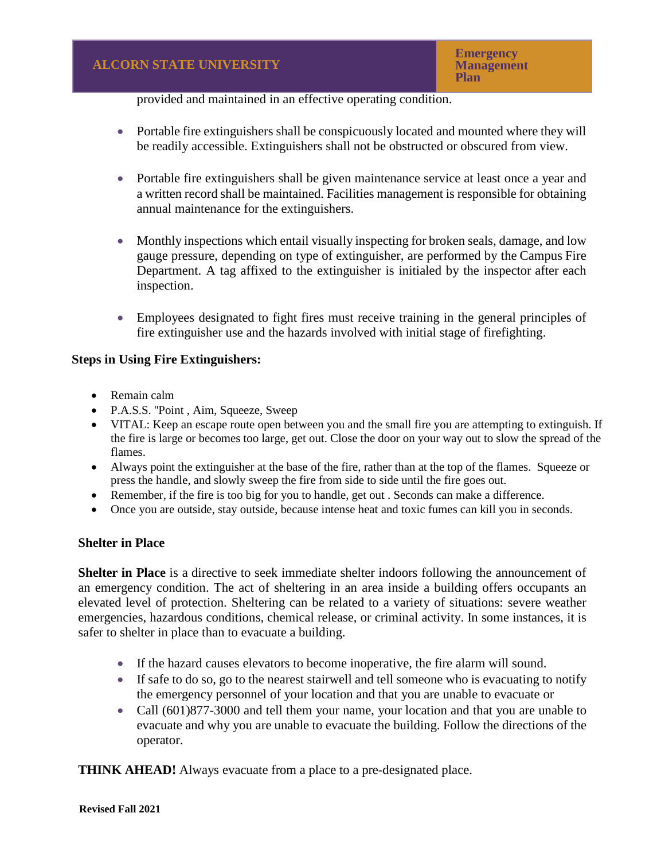provided and maintained in an effective operating condition.

- Portable fire extinguishers shall be conspicuously located and mounted where they will be readily accessible. Extinguishers shall not be obstructed or obscured from view.
- Portable fire extinguishers shall be given maintenance service at least once a year and a written record shall be maintained. Facilities management is responsible for obtaining annual maintenance for the extinguishers.
- Monthly inspections which entail visually inspecting for broken seals, damage, and low gauge pressure, depending on type of extinguisher, are performed by the Campus Fire Department. A tag affixed to the extinguisher is initialed by the inspector after each inspection.
- Employees designated to fight fires must receive training in the general principles of fire extinguisher use and the hazards involved with initial stage of firefighting.

## **Steps in Using Fire Extinguishers:**

- Remain calm
- P.A.S.S. "Point, Aim, Squeeze, Sweep
- VITAL: Keep an escape route open between you and the small fire you are attempting to extinguish. If the fire is large or becomes too large, get out. Close the door on your way out to slow the spread of the flames.
- Always point the extinguisher at the base of the fire, rather than at the top of the flames. Squeeze or press the handle, and slowly sweep the fire from side to side until the fire goes out.
- Remember, if the fire is too big for you to handle, get out . Seconds can make a difference.
- Once you are outside, stay outside, because intense heat and toxic fumes can kill you in seconds.

## **Shelter in Place**

**Shelter in Place** is a directive to seek immediate shelter indoors following the announcement of an emergency condition. The act of sheltering in an area inside a building offers occupants an elevated level of protection. Sheltering can be related to a variety of situations: severe weather emergencies, hazardous conditions, chemical release, or criminal activity. In some instances, it is safer to shelter in place than to evacuate a building.

- If the hazard causes elevators to become inoperative, the fire alarm will sound.
- If safe to do so, go to the nearest stairwell and tell someone who is evacuating to notify the emergency personnel of your location and that you are unable to evacuate or
- Call (601) 877-3000 and tell them your name, your location and that you are unable to evacuate and why you are unable to evacuate the building. Follow the directions of the operator.

**THINK AHEAD!** Always evacuate from a place to a pre-designated place.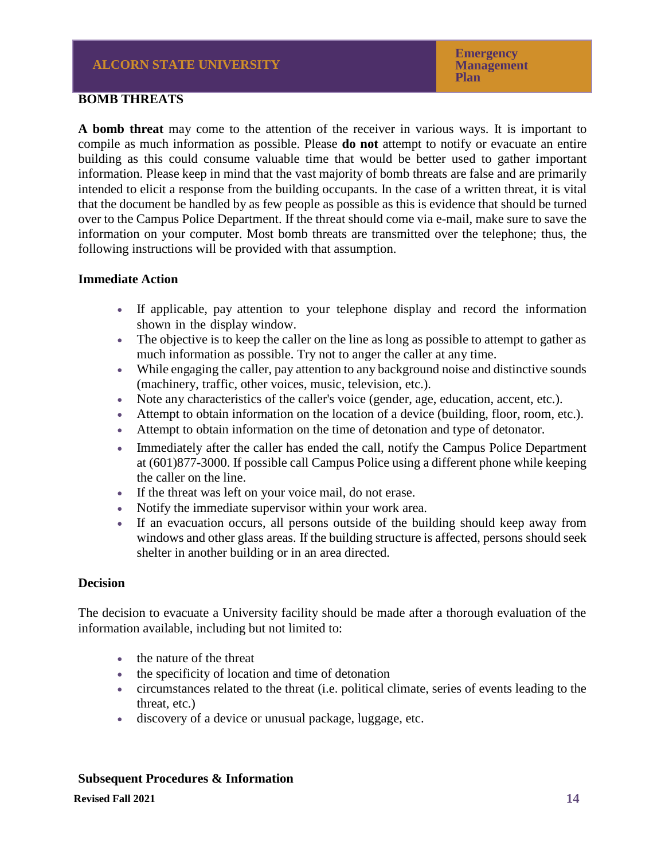## **BOMB THREATS**

**A bomb threat** may come to the attention of the receiver in various ways. It is important to compile as much information as possible. Please **do not** attempt to notify or evacuate an entire building as this could consume valuable time that would be better used to gather important information. Please keep in mind that the vast majority of bomb threats are false and are primarily intended to elicit a response from the building occupants. In the case of a written threat, it is vital that the document be handled by as few people as possible as this is evidence that should be turned over to the Campus Police Department. If the threat should come via e-mail, make sure to save the information on your computer. Most bomb threats are transmitted over the telephone; thus, the following instructions will be provided with that assumption.

#### **Immediate Action**

- If applicable, pay attention to your telephone display and record the information shown in the display window.
- The objective is to keep the caller on the line as long as possible to attempt to gather as much information as possible. Try not to anger the caller at any time.
- While engaging the caller, pay attention to any background noise and distinctive sounds (machinery, traffic, other voices, music, television, etc.).
- Note any characteristics of the caller's voice (gender, age, education, accent, etc.).
- Attempt to obtain information on the location of a device (building, floor, room, etc.).
- Attempt to obtain information on the time of detonation and type of detonator.
- Immediately after the caller has ended the call, notify the Campus Police Department at (601)877-3000. If possible call Campus Police using a different phone while keeping the caller on the line.
- If the threat was left on your voice mail, do not erase.
- Notify the immediate supervisor within your work area.
- If an evacuation occurs, all persons outside of the building should keep away from windows and other glass areas. If the building structure is affected, persons should seek shelter in another building or in an area directed.

## **Decision**

The decision to evacuate a University facility should be made after a thorough evaluation of the information available, including but not limited to:

- the nature of the threat
- the specificity of location and time of detonation
- circumstances related to the threat (i.e. political climate, series of events leading to the threat, etc.)
- discovery of a device or unusual package, luggage, etc.

## **Subsequent Procedures & Information**

**Revised Fall 2021**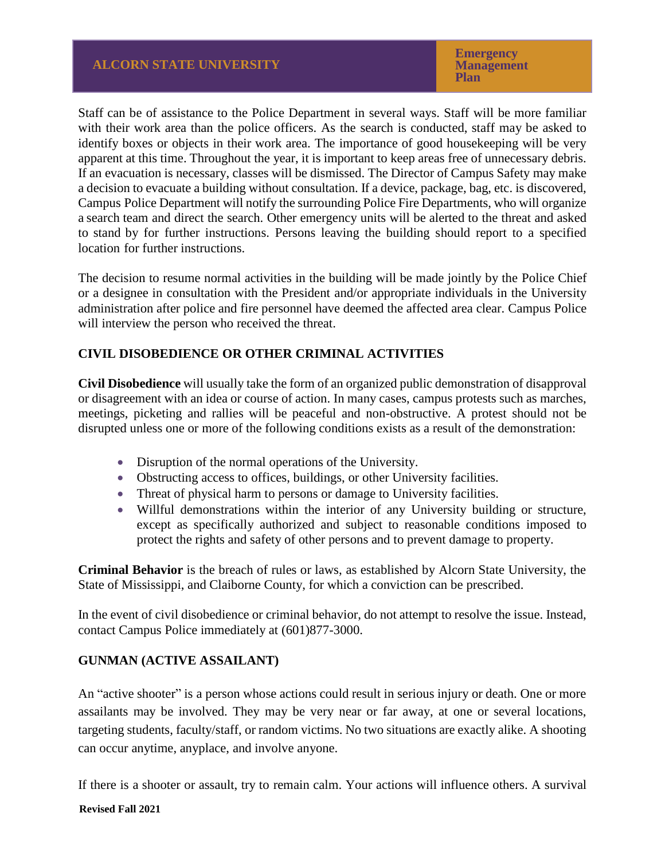Staff can be of assistance to the Police Department in several ways. Staff will be more familiar with their work area than the police officers. As the search is conducted, staff may be asked to identify boxes or objects in their work area. The importance of good housekeeping will be very apparent at this time. Throughout the year, it is important to keep areas free of unnecessary debris. If an evacuation is necessary, classes will be dismissed. The Director of Campus Safety may make a decision to evacuate a building without consultation. If a device, package, bag, etc. is discovered, Campus Police Department will notify the surrounding Police Fire Departments, who will organize a search team and direct the search. Other emergency units will be alerted to the threat and asked to stand by for further instructions. Persons leaving the building should report to a specified location for further instructions.

The decision to resume normal activities in the building will be made jointly by the Police Chief or a designee in consultation with the President and/or appropriate individuals in the University administration after police and fire personnel have deemed the affected area clear. Campus Police will interview the person who received the threat.

# **CIVIL DISOBEDIENCE OR OTHER CRIMINAL ACTIVITIES**

**Civil Disobedience** will usually take the form of an organized public demonstration of disapproval or disagreement with an idea or course of action. In many cases, campus protests such as marches, meetings, picketing and rallies will be peaceful and non-obstructive. A protest should not be disrupted unless one or more of the following conditions exists as a result of the demonstration:

- Disruption of the normal operations of the University.
- Obstructing access to offices, buildings, or other University facilities.
- Threat of physical harm to persons or damage to University facilities.
- Willful demonstrations within the interior of any University building or structure, except as specifically authorized and subject to reasonable conditions imposed to protect the rights and safety of other persons and to prevent damage to property.

**Criminal Behavior** is the breach of rules or laws, as established by Alcorn State University, the State of Mississippi, and Claiborne County, for which a conviction can be prescribed.

In the event of civil disobedience or criminal behavior, do not attempt to resolve the issue. Instead, contact Campus Police immediately at (601)877-3000.

# **GUNMAN (ACTIVE ASSAILANT)**

An "active shooter" is a person whose actions could result in serious injury or death. One or more assailants may be involved. They may be very near or far away, at one or several locations, targeting students, faculty/staff, or random victims. No two situations are exactly alike. A shooting can occur anytime, anyplace, and involve anyone.

If there is a shooter or assault, try to remain calm. Your actions will influence others. A survival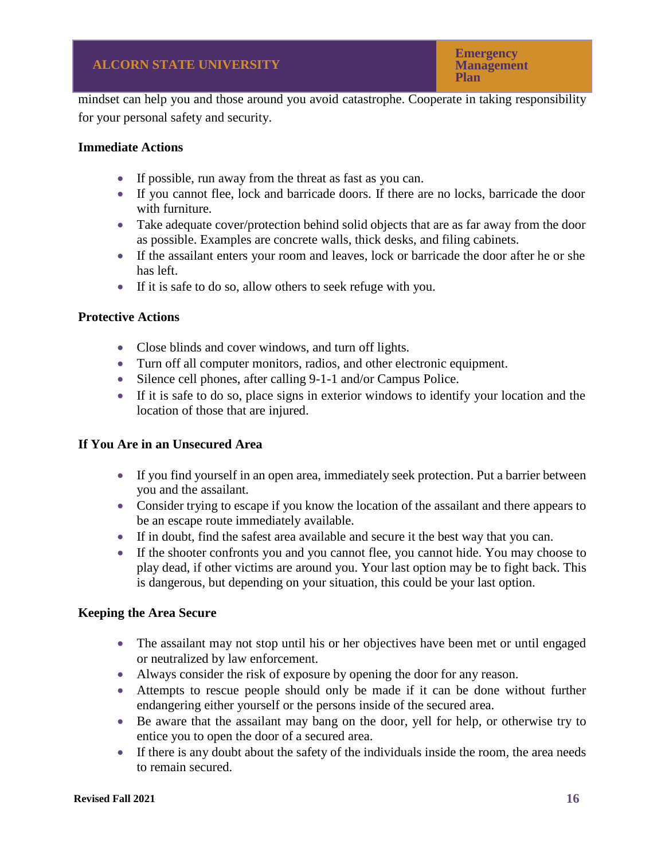mindset can help you and those around you avoid catastrophe. Cooperate in taking responsibility for your personal safety and security.

# **Immediate Actions**

- If possible, run away from the threat as fast as you can.
- If you cannot flee, lock and barricade doors. If there are no locks, barricade the door with furniture.
- Take adequate cover/protection behind solid objects that are as far away from the door as possible. Examples are concrete walls, thick desks, and filing cabinets.
- If the assailant enters your room and leaves, lock or barricade the door after he or she has left.
- If it is safe to do so, allow others to seek refuge with you.

# **Protective Actions**

- Close blinds and cover windows, and turn off lights.
- Turn off all computer monitors, radios, and other electronic equipment.
- Silence cell phones, after calling 9-1-1 and/or Campus Police.
- If it is safe to do so, place signs in exterior windows to identify your location and the location of those that are injured.

# **If You Are in an Unsecured Area**

- If you find yourself in an open area, immediately seek protection. Put a barrier between you and the assailant.
- Consider trying to escape if you know the location of the assailant and there appears to be an escape route immediately available.
- If in doubt, find the safest area available and secure it the best way that you can.
- If the shooter confronts you and you cannot flee, you cannot hide. You may choose to play dead, if other victims are around you. Your last option may be to fight back. This is dangerous, but depending on your situation, this could be your last option.

# **Keeping the Area Secure**

- The assailant may not stop until his or her objectives have been met or until engaged or neutralized by law enforcement.
- Always consider the risk of exposure by opening the door for any reason.
- Attempts to rescue people should only be made if it can be done without further endangering either yourself or the persons inside of the secured area.
- Be aware that the assailant may bang on the door, yell for help, or otherwise try to entice you to open the door of a secured area.
- If there is any doubt about the safety of the individuals inside the room, the area needs to remain secured.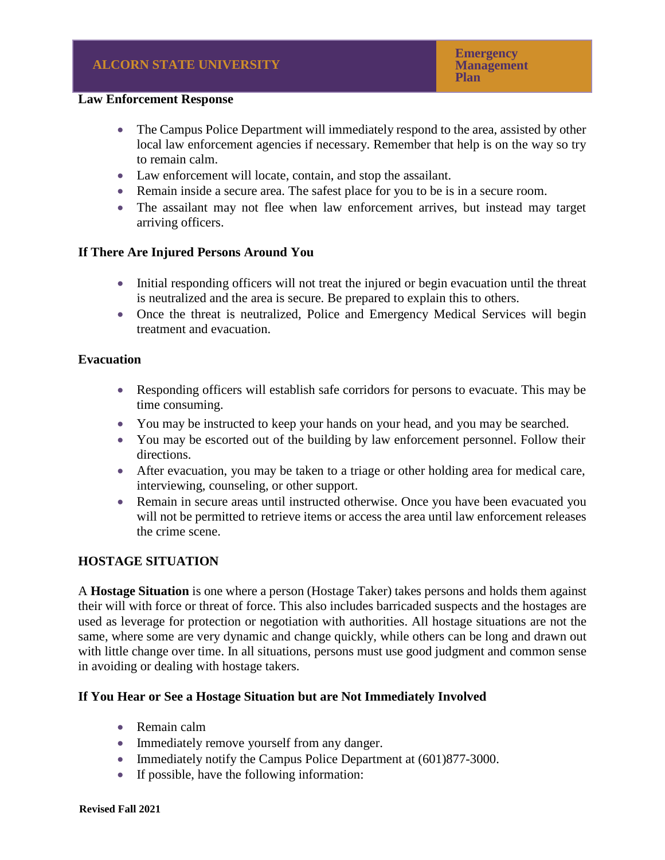#### **Law Enforcement Response**

- The Campus Police Department will immediately respond to the area, assisted by other local law enforcement agencies if necessary. Remember that help is on the way so try to remain calm.
- Law enforcement will locate, contain, and stop the assailant.
- Remain inside a secure area. The safest place for you to be is in a secure room.
- The assailant may not flee when law enforcement arrives, but instead may target arriving officers.

## **If There Are Injured Persons Around You**

- Initial responding officers will not treat the injured or begin evacuation until the threat is neutralized and the area is secure. Be prepared to explain this to others.
- Once the threat is neutralized, Police and Emergency Medical Services will begin treatment and evacuation.

#### **Evacuation**

- Responding officers will establish safe corridors for persons to evacuate. This may be time consuming.
- You may be instructed to keep your hands on your head, and you may be searched.
- You may be escorted out of the building by law enforcement personnel. Follow their directions.
- After evacuation, you may be taken to a triage or other holding area for medical care, interviewing, counseling, or other support.
- Remain in secure areas until instructed otherwise. Once you have been evacuated you will not be permitted to retrieve items or access the area until law enforcement releases the crime scene.

## **HOSTAGE SITUATION**

A **Hostage Situation** is one where a person (Hostage Taker) takes persons and holds them against their will with force or threat of force. This also includes barricaded suspects and the hostages are used as leverage for protection or negotiation with authorities. All hostage situations are not the same, where some are very dynamic and change quickly, while others can be long and drawn out with little change over time. In all situations, persons must use good judgment and common sense in avoiding or dealing with hostage takers.

## **If You Hear or See a Hostage Situation but are Not Immediately Involved**

- Remain calm
- Immediately remove yourself from any danger.
- Immediately notify the Campus Police Department at  $(601)877-3000$ .
- If possible, have the following information: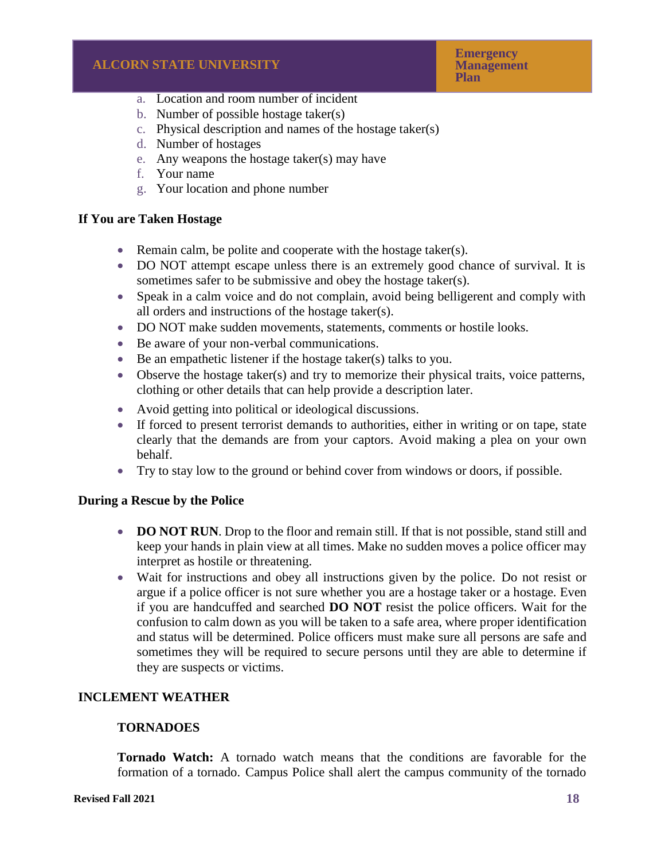- a. Location and room number of incident
- b. Number of possible hostage taker(s)
- c. Physical description and names of the hostage taker(s)
- d. Number of hostages
- e. Any weapons the hostage taker(s) may have
- f. Your name
- g. Your location and phone number

# **If You are Taken Hostage**

- Remain calm, be polite and cooperate with the hostage taker(s).
- DO NOT attempt escape unless there is an extremely good chance of survival. It is sometimes safer to be submissive and obey the hostage taker(s).
- Speak in a calm voice and do not complain, avoid being belligerent and comply with all orders and instructions of the hostage taker(s).
- DO NOT make sudden movements, statements, comments or hostile looks.
- Be aware of your non-verbal communications.
- Be an empathetic listener if the hostage taker(s) talks to you.
- Observe the hostage taker(s) and try to memorize their physical traits, voice patterns, clothing or other details that can help provide a description later.
- Avoid getting into political or ideological discussions.
- If forced to present terrorist demands to authorities, either in writing or on tape, state clearly that the demands are from your captors. Avoid making a plea on your own behalf.
- Try to stay low to the ground or behind cover from windows or doors, if possible.

# **During a Rescue by the Police**

- **DO NOT RUN**. Drop to the floor and remain still. If that is not possible, stand still and keep your hands in plain view at all times. Make no sudden moves a police officer may interpret as hostile or threatening.
- Wait for instructions and obey all instructions given by the police. Do not resist or argue if a police officer is not sure whether you are a hostage taker or a hostage. Even if you are handcuffed and searched **DO NOT** resist the police officers. Wait for the confusion to calm down as you will be taken to a safe area, where proper identification and status will be determined. Police officers must make sure all persons are safe and sometimes they will be required to secure persons until they are able to determine if they are suspects or victims.

# **INCLEMENT WEATHER**

## **TORNADOES**

**Tornado Watch:** A tornado watch means that the conditions are favorable for the formation of a tornado. Campus Police shall alert the campus community of the tornado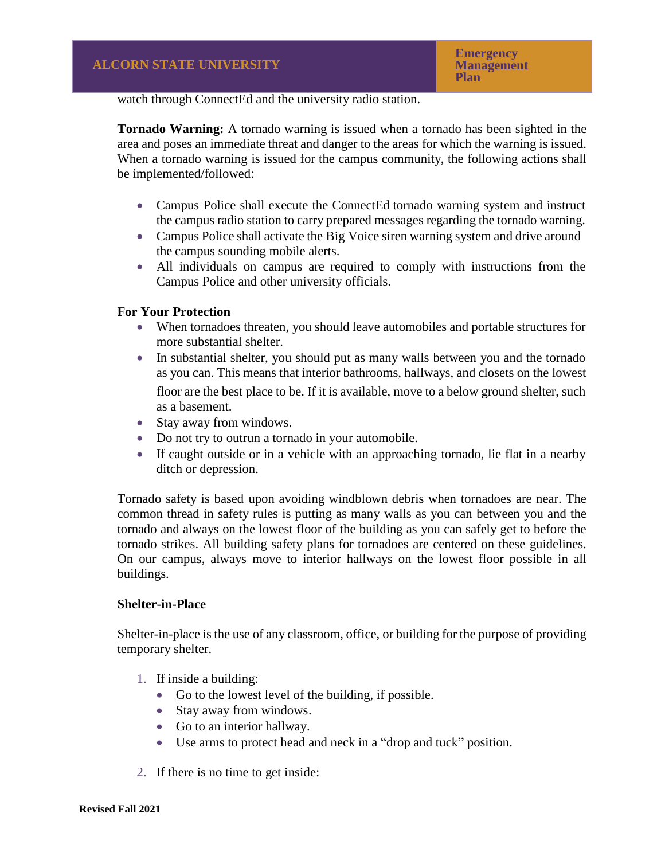watch through ConnectEd and the university radio station.

**Tornado Warning:** A tornado warning is issued when a tornado has been sighted in the area and poses an immediate threat and danger to the areas for which the warning is issued. When a tornado warning is issued for the campus community, the following actions shall be implemented/followed:

- Campus Police shall execute the ConnectEd tornado warning system and instruct the campus radio station to carry prepared messages regarding the tornado warning.
- Campus Police shall activate the Big Voice siren warning system and drive around the campus sounding mobile alerts.
- All individuals on campus are required to comply with instructions from the Campus Police and other university officials.

# **For Your Protection**

- When tornadoes threaten, you should leave automobiles and portable structures for more substantial shelter.
- In substantial shelter, you should put as many walls between you and the tornado as you can. This means that interior bathrooms, hallways, and closets on the lowest floor are the best place to be. If it is available, move to a below ground shelter, such as a basement.
- Stay away from windows.
- Do not try to outrun a tornado in your automobile.
- If caught outside or in a vehicle with an approaching tornado, lie flat in a nearby ditch or depression.

Tornado safety is based upon avoiding windblown debris when tornadoes are near. The common thread in safety rules is putting as many walls as you can between you and the tornado and always on the lowest floor of the building as you can safely get to before the tornado strikes. All building safety plans for tornadoes are centered on these guidelines. On our campus, always move to interior hallways on the lowest floor possible in all buildings.

## **Shelter-in-Place**

Shelter-in-place is the use of any classroom, office, or building for the purpose of providing temporary shelter.

- 1. If inside a building:
	- Go to the lowest level of the building, if possible.
	- Stay away from windows.
	- Go to an interior hallway.
	- Use arms to protect head and neck in a "drop and tuck" position.
- 2. If there is no time to get inside: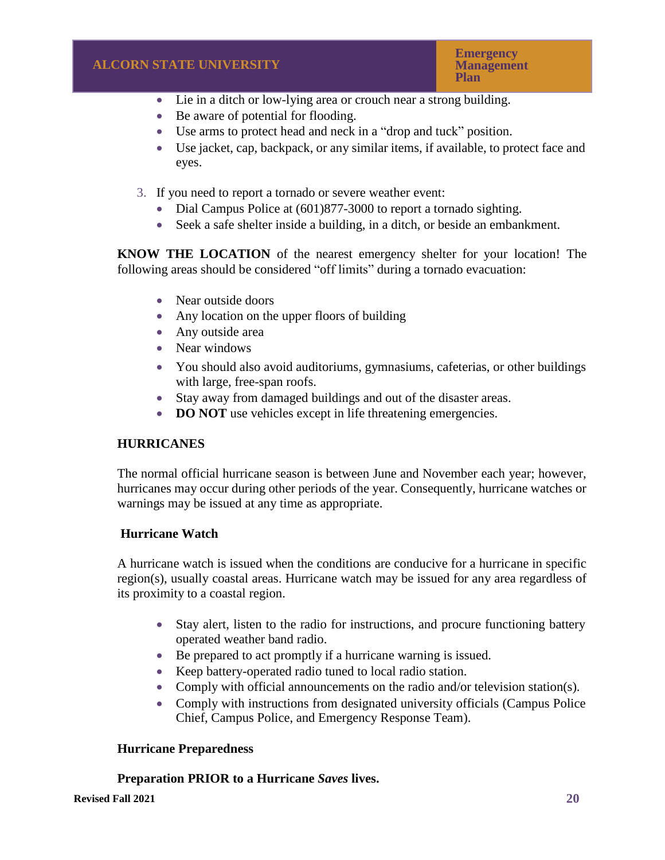**Emergency Management Plan**

- Lie in a ditch or low-lying area or crouch near a strong building.
- Be aware of potential for flooding.
- Use arms to protect head and neck in a "drop and tuck" position.
- Use jacket, cap, backpack, or any similar items, if available, to protect face and eyes.
- 3. If you need to report a tornado or severe weather event:
	- Dial Campus Police at (601)877-3000 to report a tornado sighting.
	- Seek a safe shelter inside a building, in a ditch, or beside an embankment.

**KNOW THE LOCATION** of the nearest emergency shelter for your location! The following areas should be considered "off limits" during a tornado evacuation:

- Near outside doors
- Any location on the upper floors of building
- Any outside area
- Near windows
- You should also avoid auditoriums, gymnasiums, cafeterias, or other buildings with large, free-span roofs.
- Stay away from damaged buildings and out of the disaster areas.
- **DO NOT** use vehicles except in life threatening emergencies.

## **HURRICANES**

The normal official hurricane season is between June and November each year; however, hurricanes may occur during other periods of the year. Consequently, hurricane watches or warnings may be issued at any time as appropriate.

## **Hurricane Watch**

A hurricane watch is issued when the conditions are conducive for a hurricane in specific region(s), usually coastal areas. Hurricane watch may be issued for any area regardless of its proximity to a coastal region.

- Stay alert, listen to the radio for instructions, and procure functioning battery operated weather band radio.
- Be prepared to act promptly if a hurricane warning is issued.
- Keep battery-operated radio tuned to local radio station.
- Comply with official announcements on the radio and/or television station(s).
- Comply with instructions from designated university officials (Campus Police) Chief, Campus Police, and Emergency Response Team).

## **Hurricane Preparedness**

# **Preparation PRIOR to a Hurricane** *Saves* **lives.**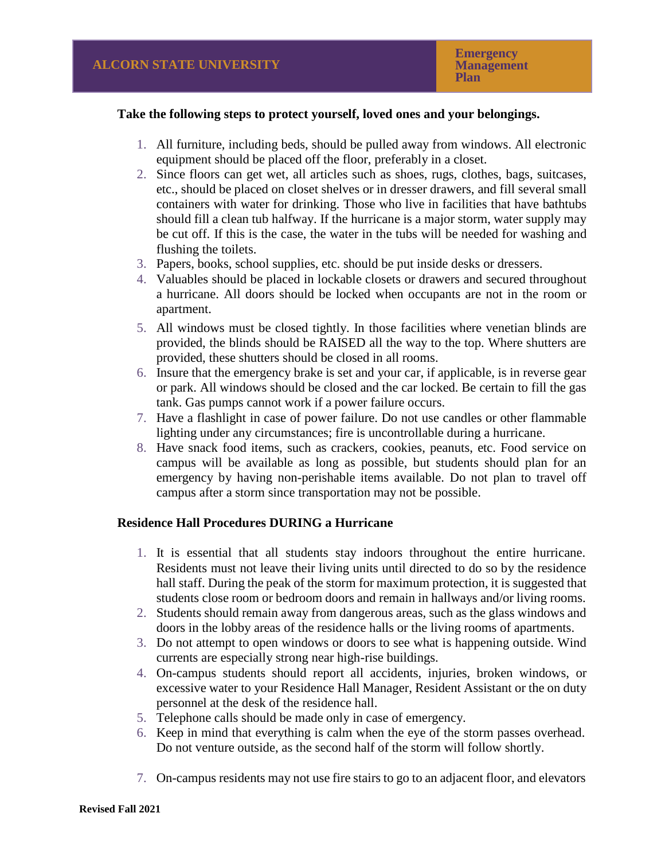#### **Take the following steps to protect yourself, loved ones and your belongings.**

- 1. All furniture, including beds, should be pulled away from windows. All electronic equipment should be placed off the floor, preferably in a closet.
- 2. Since floors can get wet, all articles such as shoes, rugs, clothes, bags, suitcases, etc., should be placed on closet shelves or in dresser drawers, and fill several small containers with water for drinking. Those who live in facilities that have bathtubs should fill a clean tub halfway. If the hurricane is a major storm, water supply may be cut off. If this is the case, the water in the tubs will be needed for washing and flushing the toilets.
- 3. Papers, books, school supplies, etc. should be put inside desks or dressers.
- 4. Valuables should be placed in lockable closets or drawers and secured throughout a hurricane. All doors should be locked when occupants are not in the room or apartment.
- 5. All windows must be closed tightly. In those facilities where venetian blinds are provided, the blinds should be RAISED all the way to the top. Where shutters are provided, these shutters should be closed in all rooms.
- 6. Insure that the emergency brake is set and your car, if applicable, is in reverse gear or park. All windows should be closed and the car locked. Be certain to fill the gas tank. Gas pumps cannot work if a power failure occurs.
- 7. Have a flashlight in case of power failure. Do not use candles or other flammable lighting under any circumstances; fire is uncontrollable during a hurricane.
- 8. Have snack food items, such as crackers, cookies, peanuts, etc. Food service on campus will be available as long as possible, but students should plan for an emergency by having non-perishable items available. Do not plan to travel off campus after a storm since transportation may not be possible.

## **Residence Hall Procedures DURING a Hurricane**

- 1. It is essential that all students stay indoors throughout the entire hurricane. Residents must not leave their living units until directed to do so by the residence hall staff. During the peak of the storm for maximum protection, it is suggested that students close room or bedroom doors and remain in hallways and/or living rooms.
- 2. Students should remain away from dangerous areas, such as the glass windows and doors in the lobby areas of the residence halls or the living rooms of apartments.
- 3. Do not attempt to open windows or doors to see what is happening outside. Wind currents are especially strong near high-rise buildings.
- 4. On-campus students should report all accidents, injuries, broken windows, or excessive water to your Residence Hall Manager, Resident Assistant or the on duty personnel at the desk of the residence hall.
- 5. Telephone calls should be made only in case of emergency.
- 6. Keep in mind that everything is calm when the eye of the storm passes overhead. Do not venture outside, as the second half of the storm will follow shortly.
- 7. On-campus residents may not use fire stairs to go to an adjacent floor, and elevators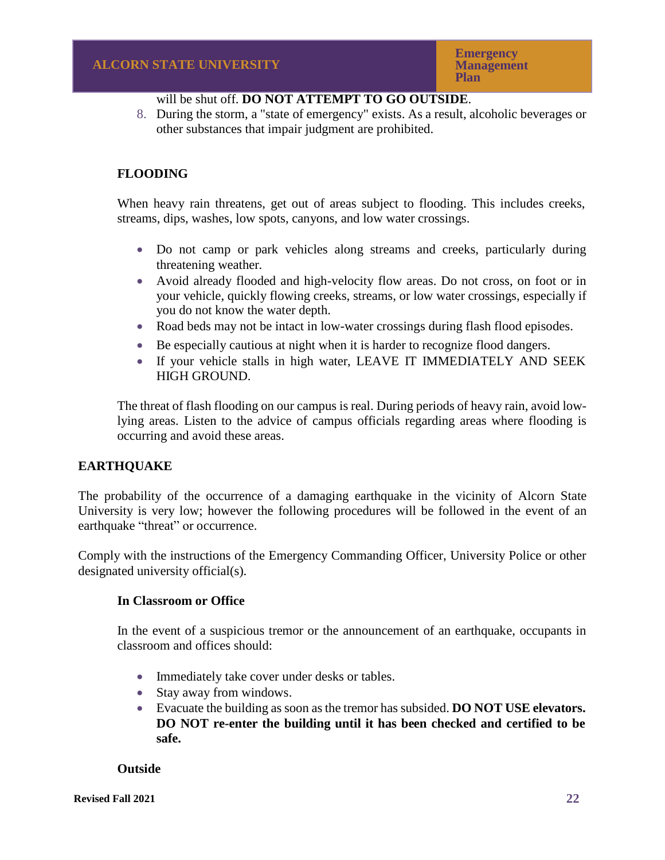# will be shut off. **DO NOT ATTEMPT TO GO OUTSIDE**.

8. During the storm, a "state of emergency" exists. As a result, alcoholic beverages or other substances that impair judgment are prohibited.

# **FLOODING**

When heavy rain threatens, get out of areas subject to flooding. This includes creeks, streams, dips, washes, low spots, canyons, and low water crossings.

- Do not camp or park vehicles along streams and creeks, particularly during threatening weather.
- Avoid already flooded and high-velocity flow areas. Do not cross, on foot or in your vehicle, quickly flowing creeks, streams, or low water crossings, especially if you do not know the water depth.
- Road beds may not be intact in low-water crossings during flash flood episodes.
- Be especially cautious at night when it is harder to recognize flood dangers.
- If your vehicle stalls in high water, LEAVE IT IMMEDIATELY AND SEEK HIGH GROUND.

The threat of flash flooding on our campus is real. During periods of heavy rain, avoid lowlying areas. Listen to the advice of campus officials regarding areas where flooding is occurring and avoid these areas.

# **EARTHQUAKE**

The probability of the occurrence of a damaging earthquake in the vicinity of Alcorn State University is very low; however the following procedures will be followed in the event of an earthquake "threat" or occurrence.

Comply with the instructions of the Emergency Commanding Officer, University Police or other designated university official(s).

## **In Classroom or Office**

In the event of a suspicious tremor or the announcement of an earthquake, occupants in classroom and offices should:

- Immediately take cover under desks or tables.
- Stay away from windows.
- Evacuate the building as soon as the tremor has subsided. **DO NOT USE elevators. DO NOT re-enter the building until it has been checked and certified to be safe.**

## **Outside**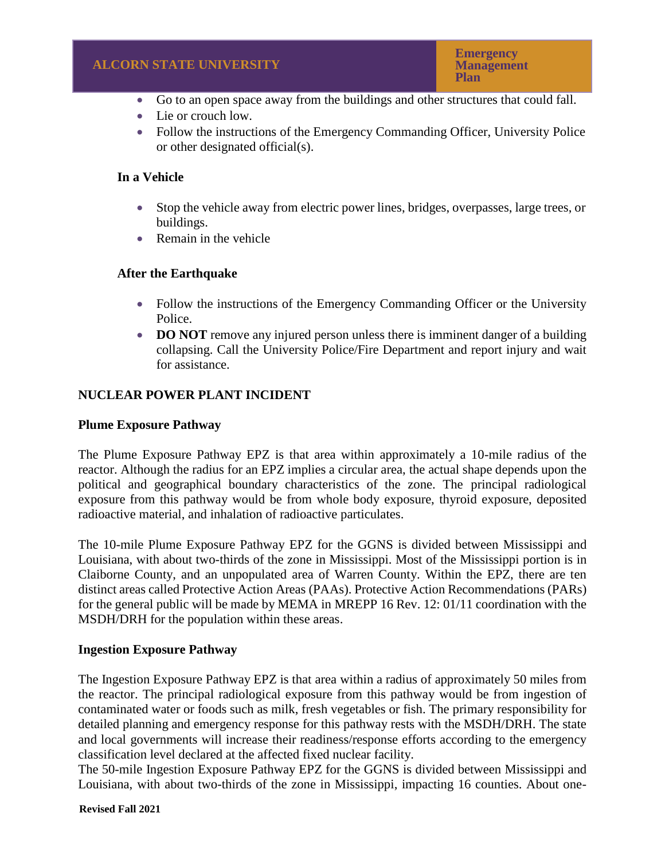- Go to an open space away from the buildings and other structures that could fall.
- Lie or crouch low.
- Follow the instructions of the Emergency Commanding Officer, University Police or other designated official(s).

# **In a Vehicle**

- Stop the vehicle away from electric power lines, bridges, overpasses, large trees, or buildings.
- Remain in the vehicle

# **After the Earthquake**

- Follow the instructions of the Emergency Commanding Officer or the University Police.
- **DO NOT** remove any injured person unless there is imminent danger of a building collapsing. Call the University Police/Fire Department and report injury and wait for assistance.

# **NUCLEAR POWER PLANT INCIDENT**

## **Plume Exposure Pathway**

The Plume Exposure Pathway EPZ is that area within approximately a 10-mile radius of the reactor. Although the radius for an EPZ implies a circular area, the actual shape depends upon the political and geographical boundary characteristics of the zone. The principal radiological exposure from this pathway would be from whole body exposure, thyroid exposure, deposited radioactive material, and inhalation of radioactive particulates.

The 10-mile Plume Exposure Pathway EPZ for the GGNS is divided between Mississippi and Louisiana, with about two-thirds of the zone in Mississippi. Most of the Mississippi portion is in Claiborne County, and an unpopulated area of Warren County. Within the EPZ, there are ten distinct areas called Protective Action Areas (PAAs). Protective Action Recommendations (PARs) for the general public will be made by MEMA in MREPP 16 Rev. 12: 01/11 coordination with the MSDH/DRH for the population within these areas.

## **Ingestion Exposure Pathway**

The Ingestion Exposure Pathway EPZ is that area within a radius of approximately 50 miles from the reactor. The principal radiological exposure from this pathway would be from ingestion of contaminated water or foods such as milk, fresh vegetables or fish. The primary responsibility for detailed planning and emergency response for this pathway rests with the MSDH/DRH. The state and local governments will increase their readiness/response efforts according to the emergency classification level declared at the affected fixed nuclear facility.

The 50-mile Ingestion Exposure Pathway EPZ for the GGNS is divided between Mississippi and Louisiana, with about two-thirds of the zone in Mississippi, impacting 16 counties. About one-

**Revised Fall 2021**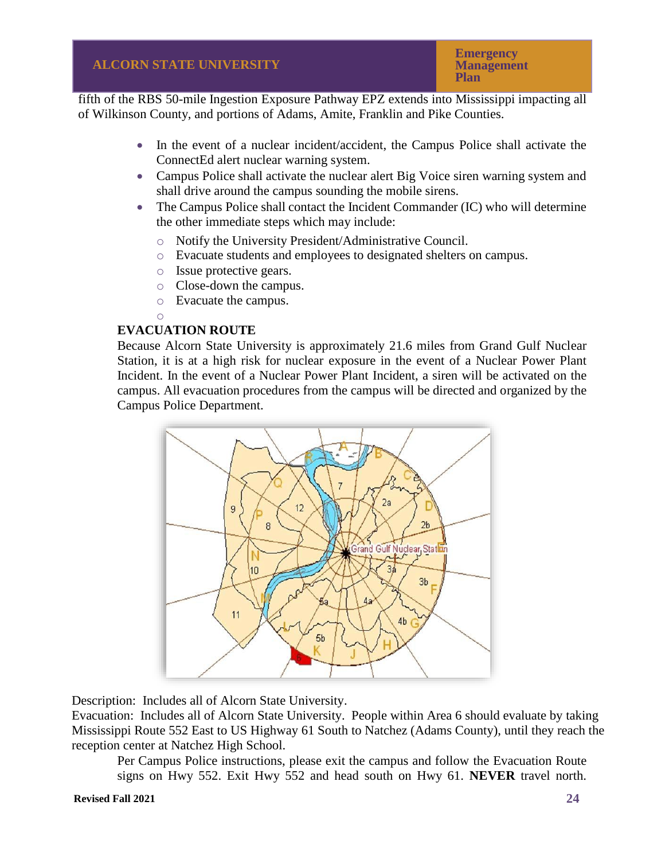**Emergency Management Plan**

fifth of the RBS 50-mile Ingestion Exposure Pathway EPZ extends into Mississippi impacting all of Wilkinson County, and portions of Adams, Amite, Franklin and Pike Counties.

- In the event of a nuclear incident/accident, the Campus Police shall activate the ConnectEd alert nuclear warning system.
- Campus Police shall activate the nuclear alert Big Voice siren warning system and shall drive around the campus sounding the mobile sirens.
- The Campus Police shall contact the Incident Commander (IC) who will determine the other immediate steps which may include:
	- o Notify the University President/Administrative Council.
	- o Evacuate students and employees to designated shelters on campus.
	- o Issue protective gears.
	- o Close-down the campus.
	- o Evacuate the campus.
	- o

# **EVACUATION ROUTE**

Because Alcorn State University is approximately 21.6 miles from Grand Gulf Nuclear Station, it is at a high risk for nuclear exposure in the event of a Nuclear Power Plant Incident. In the event of a Nuclear Power Plant Incident, a siren will be activated on the campus. All evacuation procedures from the campus will be directed and organized by the Campus Police Department.



Description: Includes all of Alcorn State University.

Evacuation: Includes all of Alcorn State University. People within Area 6 should evaluate by taking Mississippi Route 552 East to US Highway 61 South to Natchez (Adams County), until they reach the reception center at Natchez High School.

Per Campus Police instructions, please exit the campus and follow the Evacuation Route signs on Hwy 552. Exit Hwy 552 and head south on Hwy 61. **NEVER** travel north.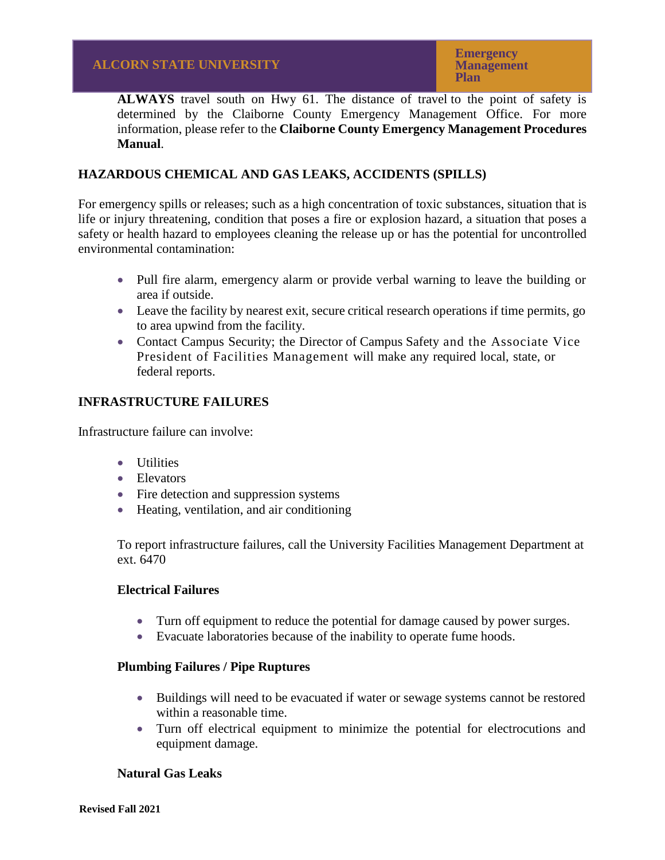**ALWAYS** travel south on Hwy 61. The distance of travel to the point of safety is determined by the Claiborne County Emergency Management Office. For more information, please refer to the **Claiborne County Emergency Management Procedures Manual**.

# **HAZARDOUS CHEMICAL AND GAS LEAKS, ACCIDENTS (SPILLS)**

For emergency spills or releases; such as a high concentration of toxic substances, situation that is life or injury threatening, condition that poses a fire or explosion hazard, a situation that poses a safety or health hazard to employees cleaning the release up or has the potential for uncontrolled environmental contamination:

- Pull fire alarm, emergency alarm or provide verbal warning to leave the building or area if outside.
- Leave the facility by nearest exit, secure critical research operations if time permits, go to area upwind from the facility.
- Contact Campus Security; the Director of Campus Safety and the Associate Vice President of Facilities Management will make any required local, state, or federal reports.

# **INFRASTRUCTURE FAILURES**

Infrastructure failure can involve:

- Utilities
- Elevators
- Fire detection and suppression systems
- Heating, ventilation, and air conditioning

To report infrastructure failures, call the University Facilities Management Department at ext. 6470

## **Electrical Failures**

- Turn off equipment to reduce the potential for damage caused by power surges.
- Evacuate laboratories because of the inability to operate fume hoods.

## **Plumbing Failures / Pipe Ruptures**

- Buildings will need to be evacuated if water or sewage systems cannot be restored within a reasonable time.
- Turn off electrical equipment to minimize the potential for electrocutions and equipment damage.

## **Natural Gas Leaks**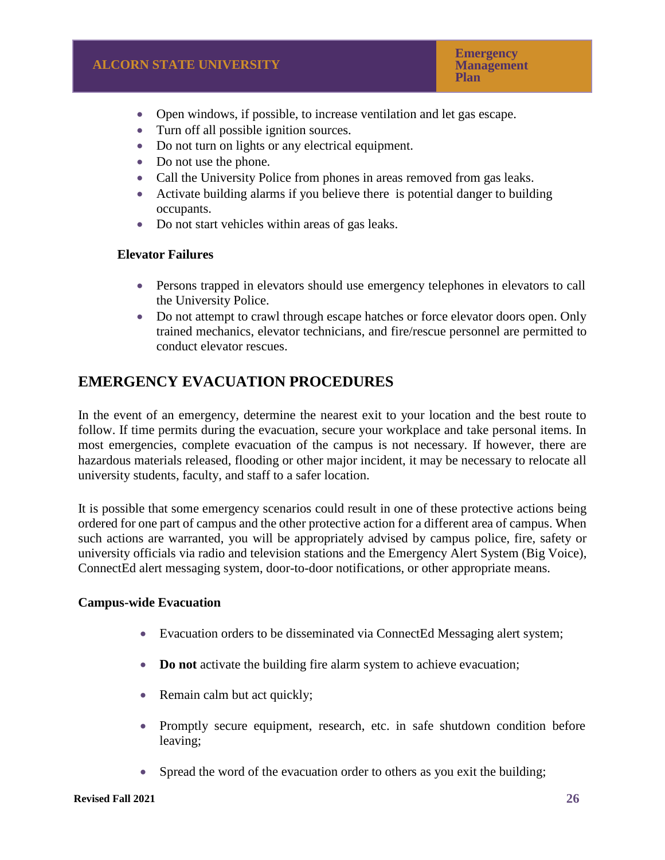- Open windows, if possible, to increase ventilation and let gas escape.
- Turn off all possible ignition sources.
- Do not turn on lights or any electrical equipment.
- Do not use the phone.
- Call the University Police from phones in areas removed from gas leaks.
- Activate building alarms if you believe there is potential danger to building occupants.
- Do not start vehicles within areas of gas leaks.

## **Elevator Failures**

- Persons trapped in elevators should use emergency telephones in elevators to call the University Police.
- Do not attempt to crawl through escape hatches or force elevator doors open. Only trained mechanics, elevator technicians, and fire/rescue personnel are permitted to conduct elevator rescues.

# **EMERGENCY EVACUATION PROCEDURES**

In the event of an emergency, determine the nearest exit to your location and the best route to follow. If time permits during the evacuation, secure your workplace and take personal items. In most emergencies, complete evacuation of the campus is not necessary. If however, there are hazardous materials released, flooding or other major incident, it may be necessary to relocate all university students, faculty, and staff to a safer location.

It is possible that some emergency scenarios could result in one of these protective actions being ordered for one part of campus and the other protective action for a different area of campus. When such actions are warranted, you will be appropriately advised by campus police, fire, safety or university officials via radio and television stations and the Emergency Alert System (Big Voice), ConnectEd alert messaging system, door-to-door notifications, or other appropriate means.

## **Campus-wide Evacuation**

- Evacuation orders to be disseminated via ConnectEd Messaging alert system;
- **Do not** activate the building fire alarm system to achieve evacuation;
- Remain calm but act quickly;
- Promptly secure equipment, research, etc. in safe shutdown condition before leaving;
- Spread the word of the evacuation order to others as you exit the building;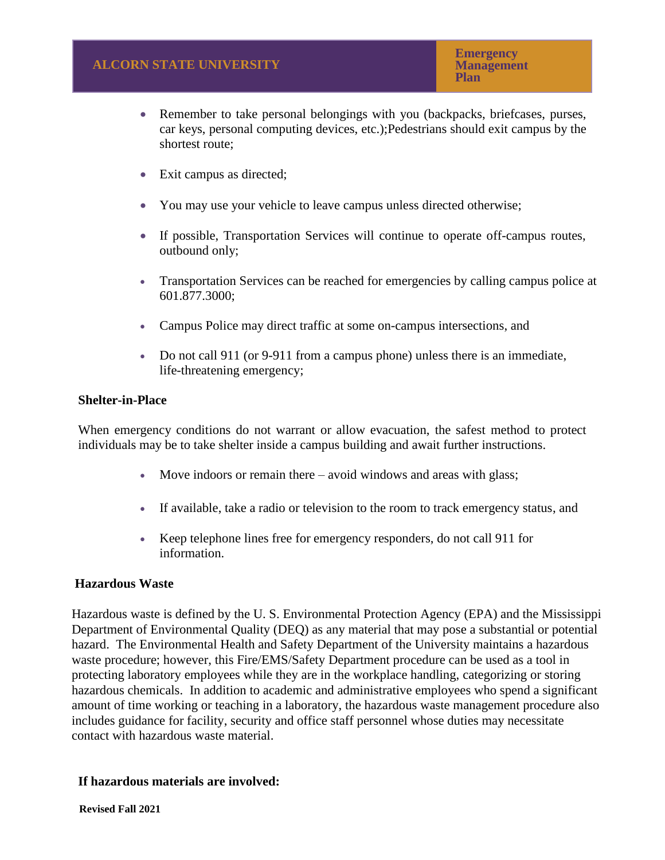- Remember to take personal belongings with you (backpacks, briefcases, purses, car keys, personal computing devices, etc.);Pedestrians should exit campus by the shortest route;
- Exit campus as directed;
- You may use your vehicle to leave campus unless directed otherwise;
- If possible, Transportation Services will continue to operate off-campus routes, outbound only;
- Transportation Services can be reached for emergencies by calling campus police at 601.877.3000;
- Campus Police may direct traffic at some on-campus intersections, and
- Do not call 911 (or 9-911 from a campus phone) unless there is an immediate, life-threatening emergency;

#### **Shelter-in-Place**

When emergency conditions do not warrant or allow evacuation, the safest method to protect individuals may be to take shelter inside a campus building and await further instructions.

- Move indoors or remain there avoid windows and areas with glass;
- If available, take a radio or television to the room to track emergency status, and
- Keep telephone lines free for emergency responders, do not call 911 for information.

#### **Hazardous Waste**

Hazardous waste is defined by the U. S. Environmental Protection Agency (EPA) and the Mississippi Department of Environmental Quality (DEQ) as any material that may pose a substantial or potential hazard. The Environmental Health and Safety Department of the University maintains a hazardous waste procedure; however, this Fire/EMS/Safety Department procedure can be used as a tool in protecting laboratory employees while they are in the workplace handling, categorizing or storing hazardous chemicals. In addition to academic and administrative employees who spend a significant amount of time working or teaching in a laboratory, the hazardous waste management procedure also includes guidance for facility, security and office staff personnel whose duties may necessitate contact with hazardous waste material.

#### **If hazardous materials are involved:**

**Revised Fall 2021**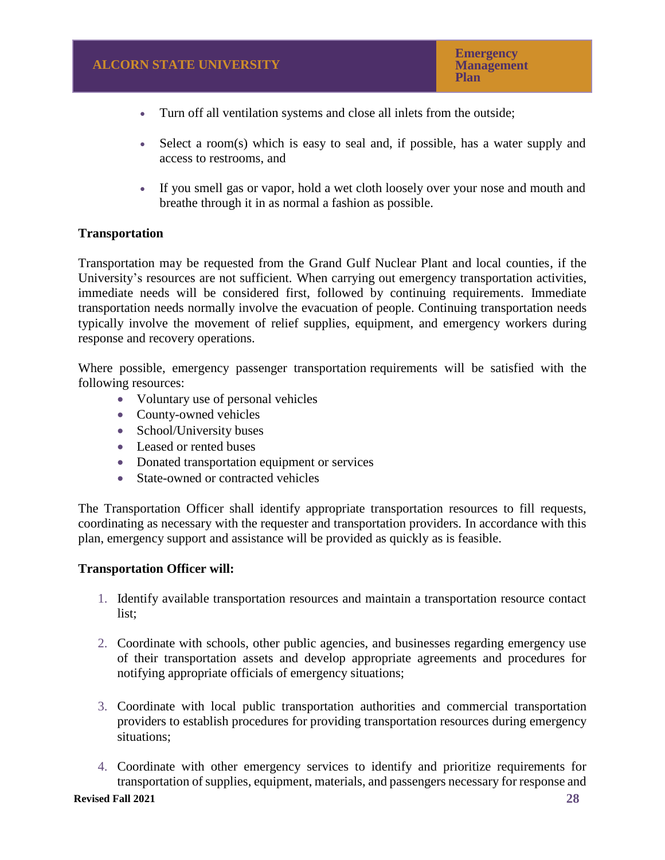- Turn off all ventilation systems and close all inlets from the outside;
- Select a room(s) which is easy to seal and, if possible, has a water supply and access to restrooms, and
- If you smell gas or vapor, hold a wet cloth loosely over your nose and mouth and breathe through it in as normal a fashion as possible.

## **Transportation**

Transportation may be requested from the Grand Gulf Nuclear Plant and local counties, if the University's resources are not sufficient. When carrying out emergency transportation activities, immediate needs will be considered first, followed by continuing requirements. Immediate transportation needs normally involve the evacuation of people. Continuing transportation needs typically involve the movement of relief supplies, equipment, and emergency workers during response and recovery operations.

Where possible, emergency passenger transportation requirements will be satisfied with the following resources:

- Voluntary use of personal vehicles
- County-owned vehicles
- School/University buses
- Leased or rented buses
- Donated transportation equipment or services
- State-owned or contracted vehicles

The Transportation Officer shall identify appropriate transportation resources to fill requests, coordinating as necessary with the requester and transportation providers. In accordance with this plan, emergency support and assistance will be provided as quickly as is feasible.

#### **Transportation Officer will:**

- 1. Identify available transportation resources and maintain a transportation resource contact list;
- 2. Coordinate with schools, other public agencies, and businesses regarding emergency use of their transportation assets and develop appropriate agreements and procedures for notifying appropriate officials of emergency situations;
- 3. Coordinate with local public transportation authorities and commercial transportation providers to establish procedures for providing transportation resources during emergency situations;
- 4. Coordinate with other emergency services to identify and prioritize requirements for transportation of supplies, equipment, materials, and passengers necessary for response and

#### **Revised Fall 2021**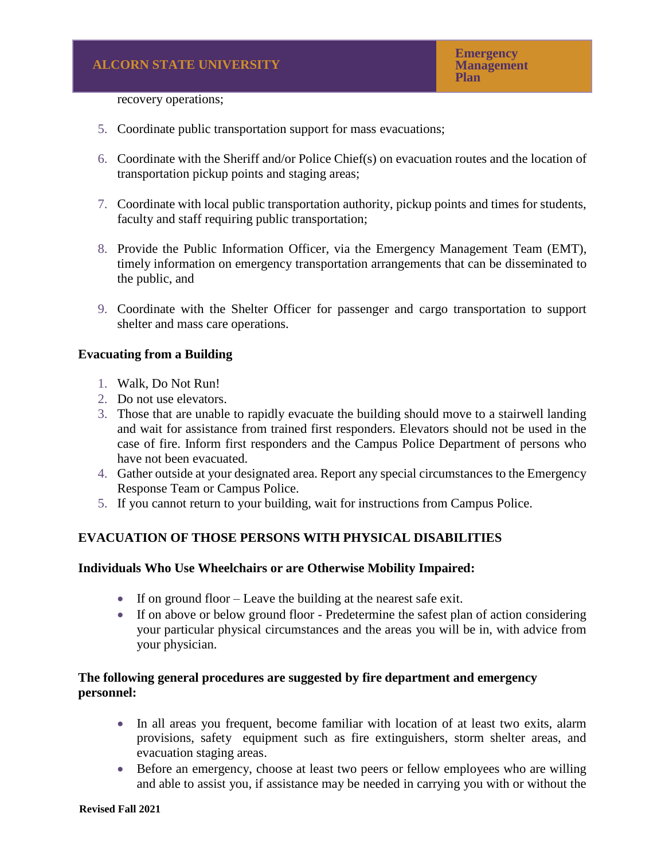# recovery operations;

- 5. Coordinate public transportation support for mass evacuations;
- 6. Coordinate with the Sheriff and/or Police Chief(s) on evacuation routes and the location of transportation pickup points and staging areas;
- 7. Coordinate with local public transportation authority, pickup points and times for students, faculty and staff requiring public transportation;
- 8. Provide the Public Information Officer, via the Emergency Management Team (EMT), timely information on emergency transportation arrangements that can be disseminated to the public, and
- 9. Coordinate with the Shelter Officer for passenger and cargo transportation to support shelter and mass care operations.

#### **Evacuating from a Building**

- 1. Walk, Do Not Run!
- 2. Do not use elevators.
- 3. Those that are unable to rapidly evacuate the building should move to a stairwell landing and wait for assistance from trained first responders. Elevators should not be used in the case of fire. Inform first responders and the Campus Police Department of persons who have not been evacuated.
- 4. Gather outside at your designated area. Report any special circumstances to the Emergency Response Team or Campus Police.
- 5. If you cannot return to your building, wait for instructions from Campus Police.

## **EVACUATION OF THOSE PERSONS WITH PHYSICAL DISABILITIES**

## **Individuals Who Use Wheelchairs or are Otherwise Mobility Impaired:**

- If on ground floor Leave the building at the nearest safe exit.
- If on above or below ground floor Predetermine the safest plan of action considering your particular physical circumstances and the areas you will be in, with advice from your physician.

## **The following general procedures are suggested by fire department and emergency personnel:**

- In all areas you frequent, become familiar with location of at least two exits, alarm provisions, safety equipment such as fire extinguishers, storm shelter areas, and evacuation staging areas.
- Before an emergency, choose at least two peers or fellow employees who are willing and able to assist you, if assistance may be needed in carrying you with or without the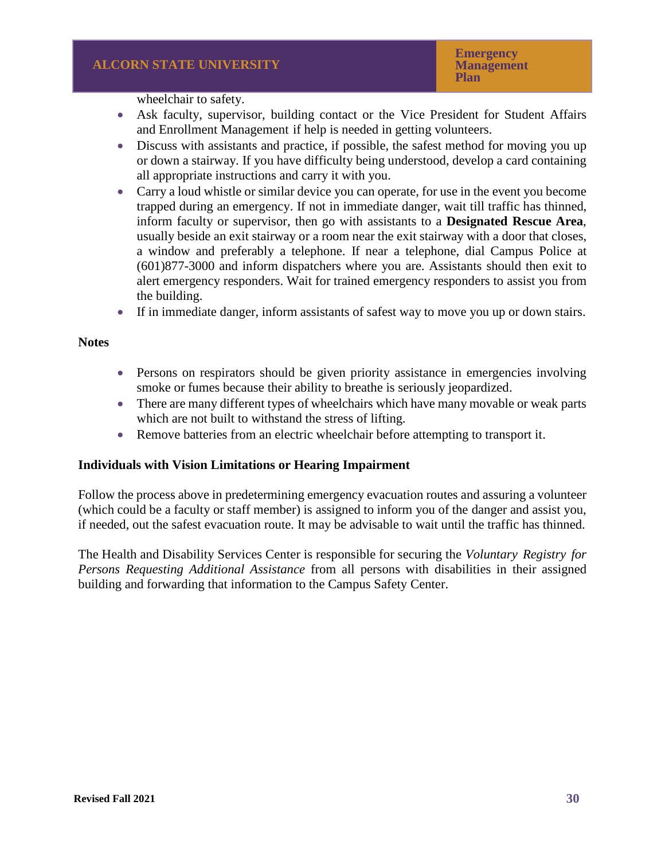wheelchair to safety.

- Ask faculty, supervisor, building contact or the Vice President for Student Affairs and Enrollment Management if help is needed in getting volunteers.
- Discuss with assistants and practice, if possible, the safest method for moving you up or down a stairway. If you have difficulty being understood, develop a card containing all appropriate instructions and carry it with you.
- Carry a loud whistle or similar device you can operate, for use in the event you become trapped during an emergency. If not in immediate danger, wait till traffic has thinned, inform faculty or supervisor, then go with assistants to a **Designated Rescue Area**, usually beside an exit stairway or a room near the exit stairway with a door that closes, a window and preferably a telephone. If near a telephone, dial Campus Police at (601)877-3000 and inform dispatchers where you are. Assistants should then exit to alert emergency responders. Wait for trained emergency responders to assist you from the building.
- If in immediate danger, inform assistants of safest way to move you up or down stairs.

#### **Notes**

- Persons on respirators should be given priority assistance in emergencies involving smoke or fumes because their ability to breathe is seriously jeopardized.
- There are many different types of wheelchairs which have many movable or weak parts which are not built to withstand the stress of lifting.
- Remove batteries from an electric wheelchair before attempting to transport it.

#### **Individuals with Vision Limitations or Hearing Impairment**

Follow the process above in predetermining emergency evacuation routes and assuring a volunteer (which could be a faculty or staff member) is assigned to inform you of the danger and assist you, if needed, out the safest evacuation route. It may be advisable to wait until the traffic has thinned.

The Health and Disability Services Center is responsible for securing the *Voluntary Registry for Persons Requesting Additional Assistance* from all persons with disabilities in their assigned building and forwarding that information to the Campus Safety Center.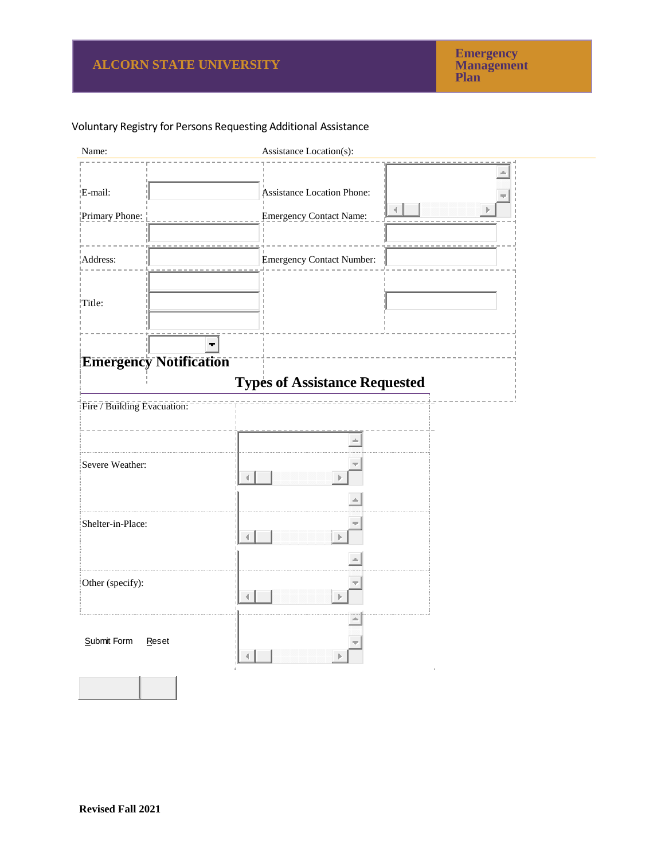# Voluntary Registry for Persons Requesting Additional Assistance

| Name:                         | Assistance Location(s):                                                  |
|-------------------------------|--------------------------------------------------------------------------|
| E-mail:<br>Primary Phone:     | <b>Assistance Location Phone:</b><br>4<br><b>Emergency Contact Name:</b> |
| Address:                      | <b>Emergency Contact Number:</b>                                         |
| $\overline{\text{Title}}$ :   |                                                                          |
| <b>Emergency Notification</b> | <b>Types of Assistance Requested</b>                                     |
| Fire / Building Evacuation:   |                                                                          |
|                               |                                                                          |
| Severe Weather:               |                                                                          |
|                               |                                                                          |
| Shelter-in-Place:             |                                                                          |
|                               |                                                                          |
| Other (specify):              |                                                                          |
| Submit Form<br>Reset          |                                                                          |
|                               |                                                                          |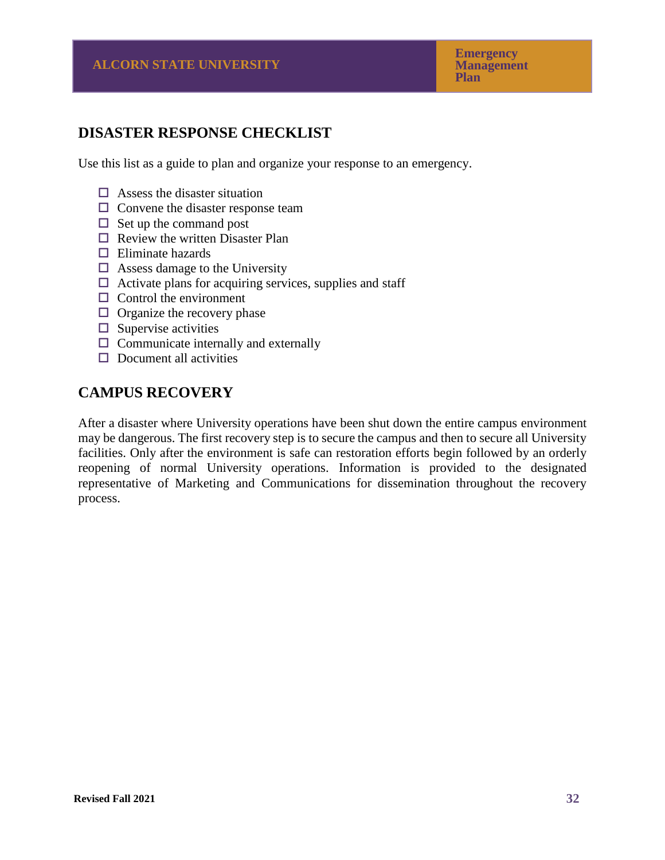# **DISASTER RESPONSE CHECKLIST**

Use this list as a guide to plan and organize your response to an emergency.

- $\Box$  Assess the disaster situation
- $\Box$  Convene the disaster response team
- $\Box$  Set up the command post
- $\Box$  Review the written Disaster Plan
- $\Box$  Eliminate hazards
- $\Box$  Assess damage to the University
- $\Box$  Activate plans for acquiring services, supplies and staff
- $\Box$  Control the environment
- $\Box$  Organize the recovery phase
- $\square$  Supervise activities
- $\Box$  Communicate internally and externally
- $\Box$  Document all activities

# **CAMPUS RECOVERY**

After a disaster where University operations have been shut down the entire campus environment may be dangerous. The first recovery step is to secure the campus and then to secure all University facilities. Only after the environment is safe can restoration efforts begin followed by an orderly reopening of normal University operations. Information is provided to the designated representative of Marketing and Communications for dissemination throughout the recovery process.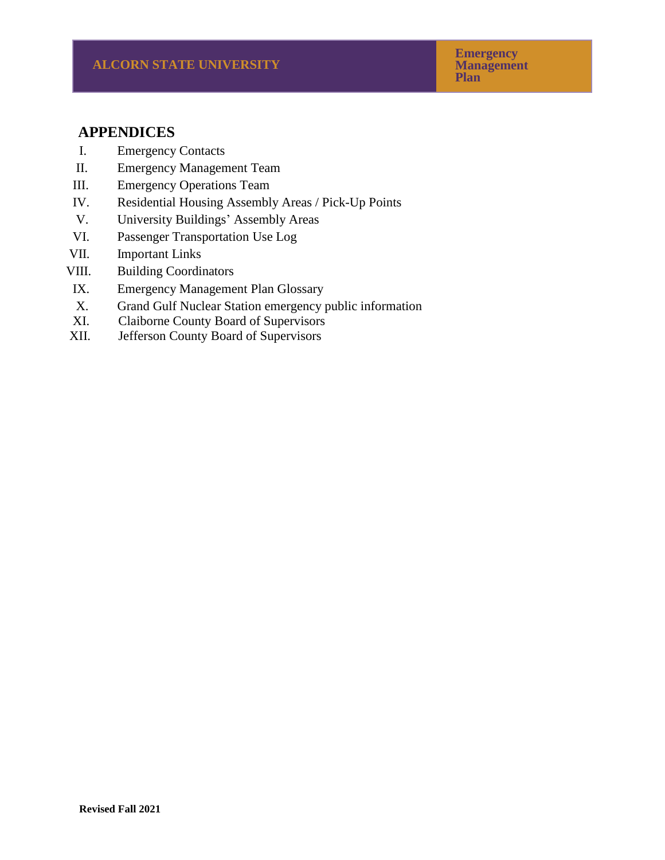# **APPENDICES**

- I. Emergency Contacts
- II. Emergency Management Team
- III. Emergency Operations Team
- IV. Residential Housing Assembly Areas / Pick-Up Points
- V. University Buildings' Assembly Areas
- VI. Passenger Transportation Use Log
- VII. Important Links
- VIII. Building Coordinators
- IX. Emergency Management Plan Glossary
- X. Grand Gulf Nuclear Station emergency public information
- XI. Claiborne County Board of Supervisors
- XII. Jefferson County Board of Supervisors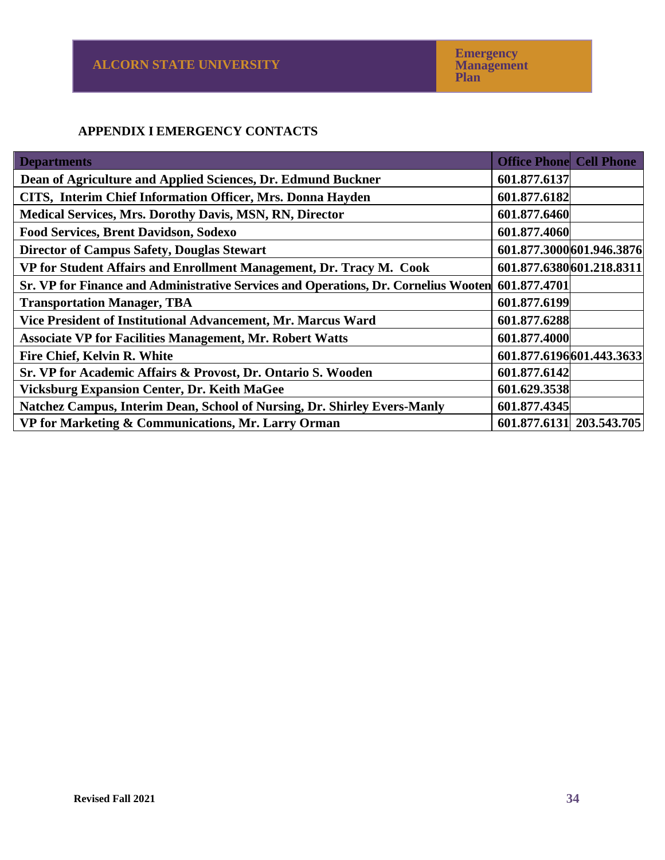# **APPENDIX I EMERGENCY CONTACTS**

| <b>Departments</b>                                                                               | <b>Office Phone Cell Phone</b> |                          |
|--------------------------------------------------------------------------------------------------|--------------------------------|--------------------------|
| Dean of Agriculture and Applied Sciences, Dr. Edmund Buckner                                     | 601.877.6137                   |                          |
| CITS, Interim Chief Information Officer, Mrs. Donna Hayden                                       | 601.877.6182                   |                          |
| <b>Medical Services, Mrs. Dorothy Davis, MSN, RN, Director</b>                                   | 601.877.6460                   |                          |
| <b>Food Services, Brent Davidson, Sodexo</b>                                                     | 601.877.4060                   |                          |
| <b>Director of Campus Safety, Douglas Stewart</b>                                                |                                | 601.877.3000601.946.3876 |
| VP for Student Affairs and Enrollment Management, Dr. Tracy M. Cook                              |                                | 601.877.6380601.218.8311 |
| Sr. VP for Finance and Administrative Services and Operations, Dr. Cornelius Wooten 601.877.4701 |                                |                          |
| <b>Transportation Manager, TBA</b>                                                               | 601.877.6199                   |                          |
| Vice President of Institutional Advancement, Mr. Marcus Ward                                     | 601.877.6288                   |                          |
| <b>Associate VP for Facilities Management, Mr. Robert Watts</b>                                  | 601.877.4000                   |                          |
| <b>Fire Chief, Kelvin R. White</b>                                                               |                                | 601.877.6196601.443.3633 |
| Sr. VP for Academic Affairs & Provost, Dr. Ontario S. Wooden                                     | 601.877.6142                   |                          |
| <b>Vicksburg Expansion Center, Dr. Keith MaGee</b>                                               | 601.629.3538                   |                          |
| Natchez Campus, Interim Dean, School of Nursing, Dr. Shirley Evers-Manly                         | 601.877.4345                   |                          |
| VP for Marketing & Communications, Mr. Larry Orman                                               |                                | 601.877.6131 203.543.705 |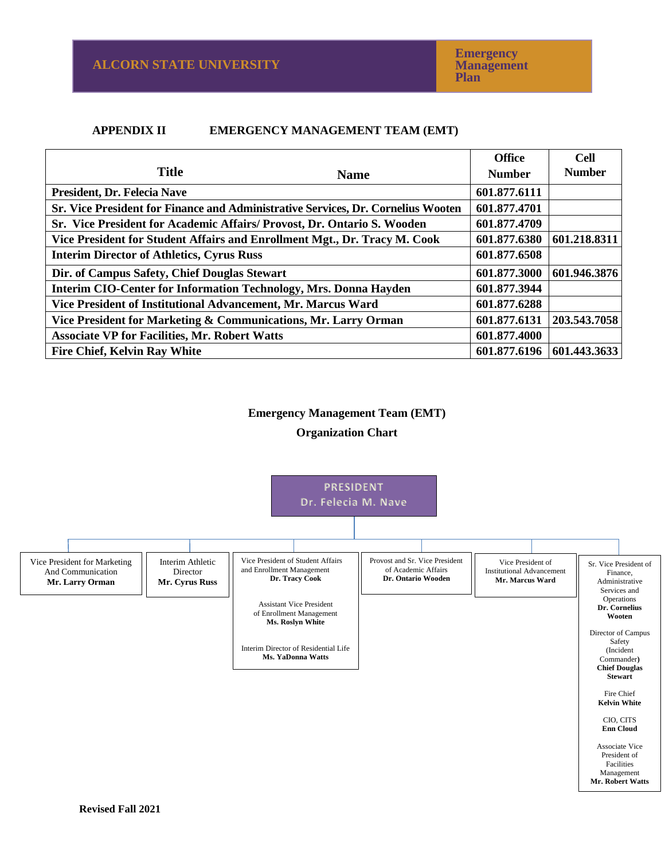**Emergency Management Plan**

#### **APPENDIX II EMERGENCY MANAGEMENT TEAM (EMT)**

|                                                                                  |             | <b>Office</b> | <b>Cell</b>   |
|----------------------------------------------------------------------------------|-------------|---------------|---------------|
| <b>Title</b>                                                                     | <b>Name</b> | <b>Number</b> | <b>Number</b> |
| President, Dr. Felecia Nave                                                      |             | 601.877.6111  |               |
| Sr. Vice President for Finance and Administrative Services, Dr. Cornelius Wooten |             | 601.877.4701  |               |
| Sr. Vice President for Academic Affairs/ Provost, Dr. Ontario S. Wooden          |             | 601.877.4709  |               |
| Vice President for Student Affairs and Enrollment Mgt., Dr. Tracy M. Cook        |             | 601.877.6380  | 601.218.8311  |
| <b>Interim Director of Athletics, Cyrus Russ</b>                                 |             | 601.877.6508  |               |
| Dir. of Campus Safety, Chief Douglas Stewart                                     |             | 601.877.3000  | 601.946.3876  |
| Interim CIO-Center for Information Technology, Mrs. Donna Hayden                 |             | 601.877.3944  |               |
| Vice President of Institutional Advancement, Mr. Marcus Ward                     |             | 601.877.6288  |               |
| Vice President for Marketing & Communications, Mr. Larry Orman                   |             | 601.877.6131  | 203.543.7058  |
| <b>Associate VP for Facilities, Mr. Robert Watts</b>                             |             | 601.877.4000  |               |
| <b>Fire Chief, Kelvin Ray White</b>                                              |             | 601.877.6196  | 601.443.3633  |

#### **Emergency Management Team (EMT)**

#### **Organization Chart**

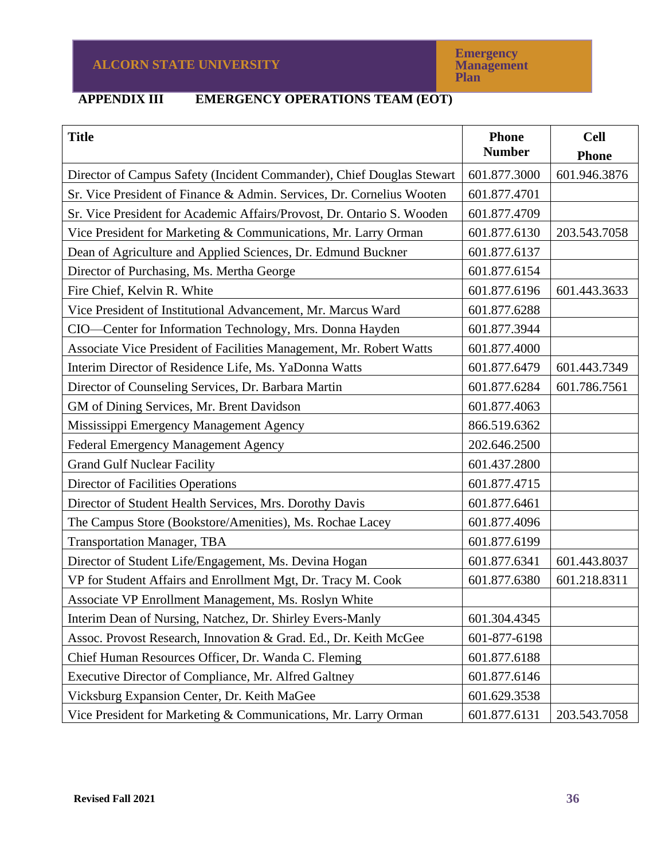# **APPENDIX III EMERGENCY OPERATIONS TEAM (EOT)**

| <b>Title</b>                                                           | <b>Phone</b><br><b>Number</b> | <b>Cell</b><br><b>Phone</b> |
|------------------------------------------------------------------------|-------------------------------|-----------------------------|
| Director of Campus Safety (Incident Commander), Chief Douglas Stewart  | 601.877.3000                  | 601.946.3876                |
| Sr. Vice President of Finance & Admin. Services, Dr. Cornelius Wooten  | 601.877.4701                  |                             |
| Sr. Vice President for Academic Affairs/Provost, Dr. Ontario S. Wooden | 601.877.4709                  |                             |
| Vice President for Marketing & Communications, Mr. Larry Orman         | 601.877.6130                  | 203.543.7058                |
| Dean of Agriculture and Applied Sciences, Dr. Edmund Buckner           | 601.877.6137                  |                             |
| Director of Purchasing, Ms. Mertha George                              | 601.877.6154                  |                             |
| Fire Chief, Kelvin R. White                                            | 601.877.6196                  | 601.443.3633                |
| Vice President of Institutional Advancement, Mr. Marcus Ward           | 601.877.6288                  |                             |
| CIO-Center for Information Technology, Mrs. Donna Hayden               | 601.877.3944                  |                             |
| Associate Vice President of Facilities Management, Mr. Robert Watts    | 601.877.4000                  |                             |
| Interim Director of Residence Life, Ms. YaDonna Watts                  | 601.877.6479                  | 601.443.7349                |
| Director of Counseling Services, Dr. Barbara Martin                    | 601.877.6284                  | 601.786.7561                |
| GM of Dining Services, Mr. Brent Davidson                              | 601.877.4063                  |                             |
| Mississippi Emergency Management Agency                                | 866.519.6362                  |                             |
| <b>Federal Emergency Management Agency</b>                             | 202.646.2500                  |                             |
| <b>Grand Gulf Nuclear Facility</b>                                     | 601.437.2800                  |                             |
| <b>Director of Facilities Operations</b>                               | 601.877.4715                  |                             |
| Director of Student Health Services, Mrs. Dorothy Davis                | 601.877.6461                  |                             |
| The Campus Store (Bookstore/Amenities), Ms. Rochae Lacey               | 601.877.4096                  |                             |
| <b>Transportation Manager, TBA</b>                                     | 601.877.6199                  |                             |
| Director of Student Life/Engagement, Ms. Devina Hogan                  | 601.877.6341                  | 601.443.8037                |
| VP for Student Affairs and Enrollment Mgt, Dr. Tracy M. Cook           | 601.877.6380                  | 601.218.8311                |
| Associate VP Enrollment Management, Ms. Roslyn White                   |                               |                             |
| Interim Dean of Nursing, Natchez, Dr. Shirley Evers-Manly              | 601.304.4345                  |                             |
| Assoc. Provost Research, Innovation & Grad. Ed., Dr. Keith McGee       | 601-877-6198                  |                             |
| Chief Human Resources Officer, Dr. Wanda C. Fleming                    | 601.877.6188                  |                             |
| Executive Director of Compliance, Mr. Alfred Galtney                   | 601.877.6146                  |                             |
| Vicksburg Expansion Center, Dr. Keith MaGee                            | 601.629.3538                  |                             |
| Vice President for Marketing & Communications, Mr. Larry Orman         | 601.877.6131                  | 203.543.7058                |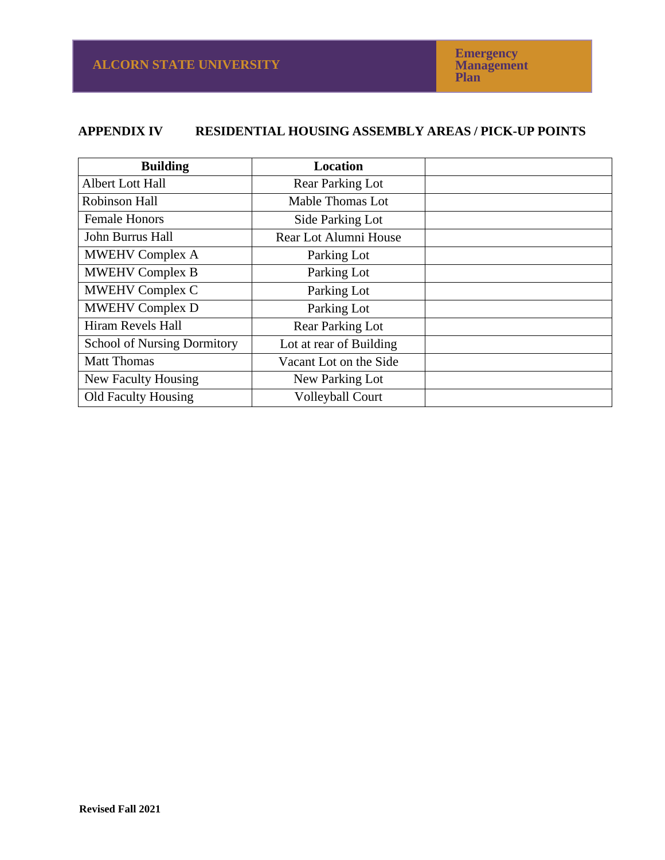# **APPENDIX IV RESIDENTIAL HOUSING ASSEMBLY AREAS / PICK-UP POINTS**

| <b>Building</b>                    | <b>Location</b>         |  |
|------------------------------------|-------------------------|--|
| <b>Albert Lott Hall</b>            | <b>Rear Parking Lot</b> |  |
| Robinson Hall                      | Mable Thomas Lot        |  |
| <b>Female Honors</b>               | Side Parking Lot        |  |
| John Burrus Hall                   | Rear Lot Alumni House   |  |
| <b>MWEHV Complex A</b>             | Parking Lot             |  |
| <b>MWEHV Complex B</b>             | Parking Lot             |  |
| <b>MWEHV Complex C</b>             | Parking Lot             |  |
| <b>MWEHV Complex D</b>             | Parking Lot             |  |
| Hiram Revels Hall                  | <b>Rear Parking Lot</b> |  |
| <b>School of Nursing Dormitory</b> | Lot at rear of Building |  |
| <b>Matt Thomas</b>                 | Vacant Lot on the Side  |  |
| New Faculty Housing                | New Parking Lot         |  |
| <b>Old Faculty Housing</b>         | <b>Volleyball Court</b> |  |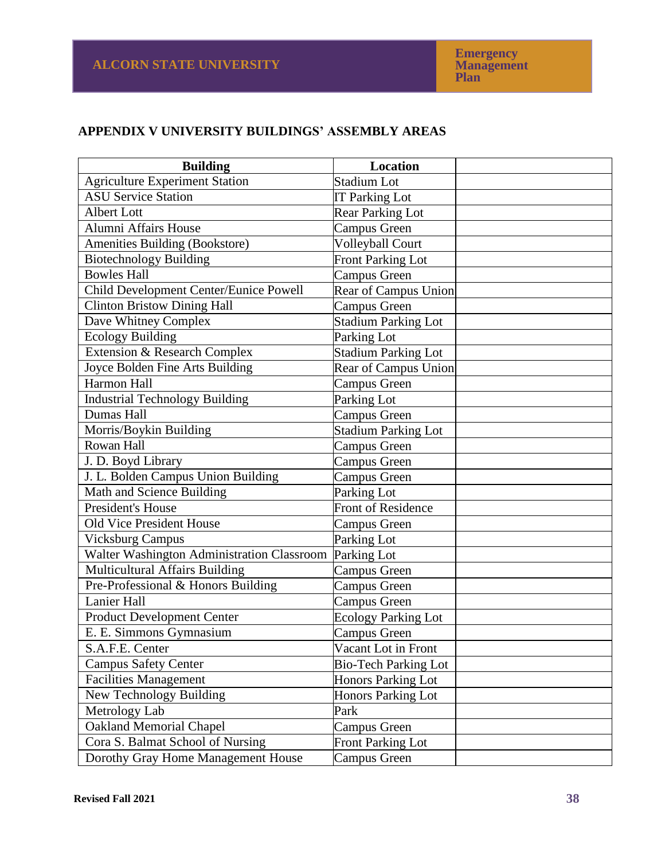**Emergency Management Plan**

# **APPENDIX V UNIVERSITY BUILDINGS' ASSEMBLY AREAS**

| <b>Building</b>                            | <b>Location</b>             |  |
|--------------------------------------------|-----------------------------|--|
| <b>Agriculture Experiment Station</b>      | Stadium Lot                 |  |
| <b>ASU Service Station</b>                 | <b>IT Parking Lot</b>       |  |
| Albert Lott                                | <b>Rear Parking Lot</b>     |  |
| <b>Alumni Affairs House</b>                | Campus Green                |  |
| Amenities Building (Bookstore)             | <b>Volleyball Court</b>     |  |
| <b>Biotechnology Building</b>              | <b>Front Parking Lot</b>    |  |
| <b>Bowles Hall</b>                         | <b>Campus Green</b>         |  |
| Child Development Center/Eunice Powell     | Rear of Campus Union        |  |
| <b>Clinton Bristow Dining Hall</b>         | <b>Campus Green</b>         |  |
| Dave Whitney Complex                       | <b>Stadium Parking Lot</b>  |  |
| <b>Ecology Building</b>                    | Parking Lot                 |  |
| Extension & Research Complex               | <b>Stadium Parking Lot</b>  |  |
| Joyce Bolden Fine Arts Building            | Rear of Campus Union        |  |
| Harmon Hall                                | <b>Campus Green</b>         |  |
| <b>Industrial Technology Building</b>      | Parking Lot                 |  |
| <b>Dumas Hall</b>                          | Campus Green                |  |
| Morris/Boykin Building                     | <b>Stadium Parking Lot</b>  |  |
| Rowan Hall                                 | Campus Green                |  |
| J. D. Boyd Library                         | Campus Green                |  |
| J. L. Bolden Campus Union Building         | <b>Campus Green</b>         |  |
| Math and Science Building                  | Parking Lot                 |  |
| <b>President's House</b>                   | <b>Front of Residence</b>   |  |
| <b>Old Vice President House</b>            | <b>Campus Green</b>         |  |
| <b>Vicksburg Campus</b>                    | Parking Lot                 |  |
| Walter Washington Administration Classroom | Parking Lot                 |  |
| <b>Multicultural Affairs Building</b>      | <b>Campus Green</b>         |  |
| Pre-Professional & Honors Building         | Campus Green                |  |
| <b>Lanier Hall</b>                         | Campus Green                |  |
| <b>Product Development Center</b>          | <b>Ecology Parking Lot</b>  |  |
| E. E. Simmons Gymnasium                    | Campus Green                |  |
| S.A.F.E. Center                            | Vacant Lot in Front         |  |
| <b>Campus Safety Center</b>                | <b>Bio-Tech Parking Lot</b> |  |
| <b>Facilities Management</b>               | <b>Honors Parking Lot</b>   |  |
| New Technology Building                    | <b>Honors Parking Lot</b>   |  |
| Metrology Lab                              | Park                        |  |
| <b>Oakland Memorial Chapel</b>             | Campus Green                |  |
| Cora S. Balmat School of Nursing           | <b>Front Parking Lot</b>    |  |
| Dorothy Gray Home Management House         | Campus Green                |  |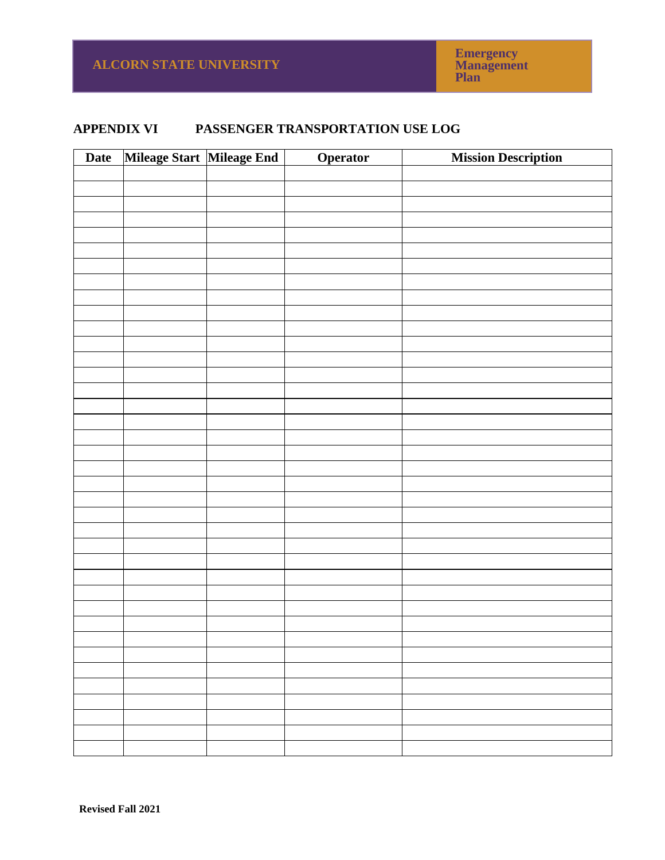# **APPENDIX VI PASSENGER TRANSPORTATION USE LOG**

| Date | Mileage Start Mileage End | Operator | <b>Mission Description</b> |
|------|---------------------------|----------|----------------------------|
|      |                           |          |                            |
|      |                           |          |                            |
|      |                           |          |                            |
|      |                           |          |                            |
|      |                           |          |                            |
|      |                           |          |                            |
|      |                           |          |                            |
|      |                           |          |                            |
|      |                           |          |                            |
|      |                           |          |                            |
|      |                           |          |                            |
|      |                           |          |                            |
|      |                           |          |                            |
|      |                           |          |                            |
|      |                           |          |                            |
|      |                           |          |                            |
|      |                           |          |                            |
|      |                           |          |                            |
|      |                           |          |                            |
|      |                           |          |                            |
|      |                           |          |                            |
|      |                           |          |                            |
|      |                           |          |                            |
|      |                           |          |                            |
|      |                           |          |                            |
|      |                           |          |                            |
|      |                           |          |                            |
|      |                           |          |                            |
|      |                           |          |                            |
|      |                           |          |                            |
|      |                           |          |                            |
|      |                           |          |                            |
|      |                           |          |                            |
|      |                           |          |                            |
|      |                           |          |                            |
|      |                           |          |                            |
|      |                           |          |                            |
|      |                           |          |                            |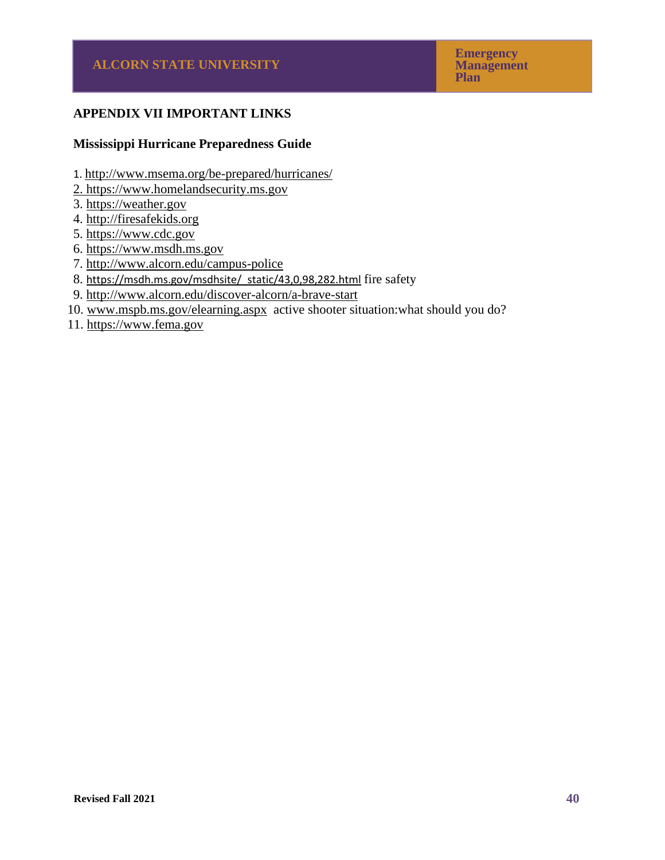# **APPENDIX VII IMPORTANT LINKS**

#### **Mississippi Hurricane Preparedness Guide**

- 1. <http://www.msema.org/be-prepared/hurricanes/>
- 2. [https://www.homelandsecurity.ms.gov](https://www.homelandsecurity.ms.gov/)
- 3. [https://weather.gov](https://weather.gov/)
- 4. [http://firesafekids.org](http://firesafekids.org/)
- 5. [https://www.cdc.gov](https://www.cdc.gov/)
- 6. [https://www.msdh.ms.gov](https://www.msdh.ms.gov/)
- 7.<http://www.alcorn.edu/campus-police>
- 8. [https://msdh.ms.gov/msdhsite/\\_static/43,0,98,282.html](https://msdh.ms.gov/msdhsite/_static/43,0,98,282.html) fire safety
- 9.<http://www.alcorn.edu/discover-alcorn/a-brave-start>
- 10. [www.mspb.ms.gov/elearning.aspx](http://www.mspb.ms.gov/elearning.aspx) active shooter situation:what should you do?
- 11. [https://www.fema.gov](https://www.fema.gov/)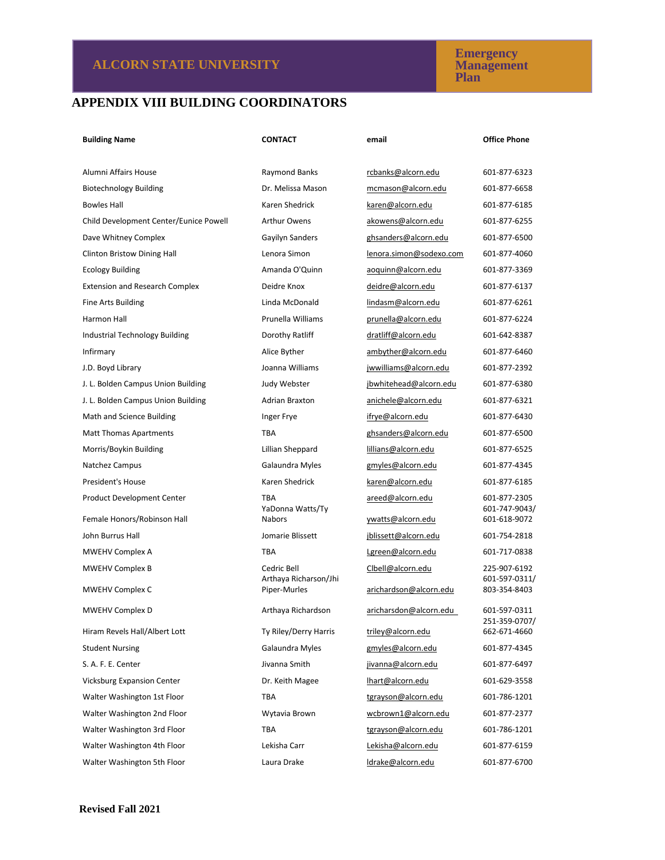#### **Emergency Management Plan**

# **APPENDIX VIII BUILDING COORDINATORS**

| <b>Building Name</b>                   | <b>CONTACT</b>                    | email                   | <b>Office Phone</b>           |
|----------------------------------------|-----------------------------------|-------------------------|-------------------------------|
|                                        |                                   |                         |                               |
| Alumni Affairs House                   | Raymond Banks                     | rcbanks@alcorn.edu      | 601-877-6323                  |
| <b>Biotechnology Building</b>          | Dr. Melissa Mason                 | mcmason@alcorn.edu      | 601-877-6658                  |
| <b>Bowles Hall</b>                     | Karen Shedrick                    | karen@alcorn.edu        | 601-877-6185                  |
| Child Development Center/Eunice Powell | <b>Arthur Owens</b>               | akowens@alcorn.edu      | 601-877-6255                  |
| Dave Whitney Complex                   | Gayilyn Sanders                   | ghsanders@alcorn.edu    | 601-877-6500                  |
| <b>Clinton Bristow Dining Hall</b>     | Lenora Simon                      | lenora.simon@sodexo.com | 601-877-4060                  |
| <b>Ecology Building</b>                | Amanda O'Quinn                    | aoquinn@alcorn.edu      | 601-877-3369                  |
| <b>Extension and Research Complex</b>  | Deidre Knox                       | deidre@alcorn.edu       | 601-877-6137                  |
| Fine Arts Building                     | Linda McDonald                    | lindasm@alcorn.edu      | 601-877-6261                  |
| Harmon Hall                            | Prunella Williams                 | prunella@alcorn.edu     | 601-877-6224                  |
| Industrial Technology Building         | Dorothy Ratliff                   | dratliff@alcorn.edu     | 601-642-8387                  |
| Infirmary                              | Alice Byther                      | ambyther@alcorn.edu     | 601-877-6460                  |
| J.D. Boyd Library                      | Joanna Williams                   | jwwilliams@alcorn.edu   | 601-877-2392                  |
| J. L. Bolden Campus Union Building     | Judy Webster                      | jbwhitehead@alcorn.edu  | 601-877-6380                  |
| J. L. Bolden Campus Union Building     | <b>Adrian Braxton</b>             | anichele@alcorn.edu     | 601-877-6321                  |
| Math and Science Building              | Inger Frye                        | ifrye@alcorn.edu        | 601-877-6430                  |
| <b>Matt Thomas Apartments</b>          | <b>TBA</b>                        | ghsanders@alcorn.edu    | 601-877-6500                  |
| Morris/Boykin Building                 | Lillian Sheppard                  | lillians@alcorn.edu     | 601-877-6525                  |
| Natchez Campus                         | Galaundra Myles                   | gmyles@alcorn.edu       | 601-877-4345                  |
| President's House                      | Karen Shedrick                    | karen@alcorn.edu        | 601-877-6185                  |
| <b>Product Development Center</b>      | <b>TBA</b>                        | areed@alcorn.edu        | 601-877-2305                  |
| Female Honors/Robinson Hall            | YaDonna Watts/Ty<br><b>Nabors</b> | ywatts@alcorn.edu       | 601-747-9043/<br>601-618-9072 |
| John Burrus Hall                       | Jomarie Blissett                  | jblissett@alcorn.edu    | 601-754-2818                  |
| MWEHV Complex A                        | <b>TBA</b>                        | Lgreen@alcorn.edu       | 601-717-0838                  |
| <b>MWEHV Complex B</b>                 | Cedric Bell                       | Clbell@alcorn.edu       | 225-907-6192                  |
|                                        | Arthaya Richarson/Jhi             |                         | 601-597-0311/                 |
| MWEHV Complex C                        | Piper-Murles                      | arichardson@alcorn.edu  | 803-354-8403                  |
| <b>MWEHV Complex D</b>                 | Arthaya Richardson                | aricharsdon@alcorn.edu  | 601-597-0311<br>251-359-0707/ |
| Hiram Revels Hall/Albert Lott          | Ty Riley/Derry Harris             | triley@alcorn.edu       | 662-671-4660                  |
| <b>Student Nursing</b>                 | Galaundra Myles                   | gmyles@alcorn.edu       | 601-877-4345                  |
| S. A. F. E. Center                     | Jivanna Smith                     | jivanna@alcorn.edu      | 601-877-6497                  |
| <b>Vicksburg Expansion Center</b>      | Dr. Keith Magee                   | lhart@alcorn.edu        | 601-629-3558                  |
| Walter Washington 1st Floor            | TBA                               | tgrayson@alcorn.edu     | 601-786-1201                  |
| Walter Washington 2nd Floor            | Wytavia Brown                     | wcbrown1@alcorn.edu     | 601-877-2377                  |
| Walter Washington 3rd Floor            | TBA                               | tgrayson@alcorn.edu     | 601-786-1201                  |
| Walter Washington 4th Floor            | Lekisha Carr                      | Lekisha@alcorn.edu      | 601-877-6159                  |
| Walter Washington 5th Floor            | Laura Drake                       | ldrake@alcorn.edu       | 601-877-6700                  |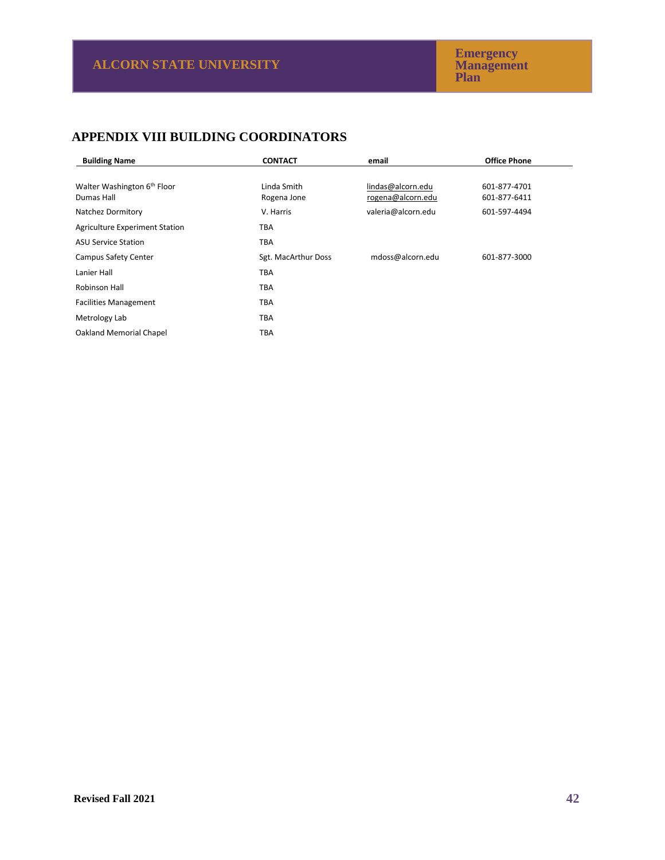# **APPENDIX VIII BUILDING COORDINATORS**

| <b>Building Name</b>                    | <b>CONTACT</b>      | email              | <b>Office Phone</b> |
|-----------------------------------------|---------------------|--------------------|---------------------|
|                                         |                     |                    |                     |
| Walter Washington 6 <sup>th</sup> Floor | Linda Smith         | lindas@alcorn.edu  | 601-877-4701        |
| Dumas Hall                              | Rogena Jone         | rogena@alcorn.edu  | 601-877-6411        |
| Natchez Dormitory                       | V. Harris           | valeria@alcorn.edu | 601-597-4494        |
| <b>Agriculture Experiment Station</b>   | TBA                 |                    |                     |
| <b>ASU Service Station</b>              | <b>TBA</b>          |                    |                     |
| Campus Safety Center                    | Sgt. MacArthur Doss | mdoss@alcorn.edu   | 601-877-3000        |
| Lanier Hall                             | TBA                 |                    |                     |
| Robinson Hall                           | <b>TBA</b>          |                    |                     |
| <b>Facilities Management</b>            | <b>TBA</b>          |                    |                     |
| Metrology Lab                           | TBA                 |                    |                     |
| <b>Oakland Memorial Chapel</b>          | ТВА                 |                    |                     |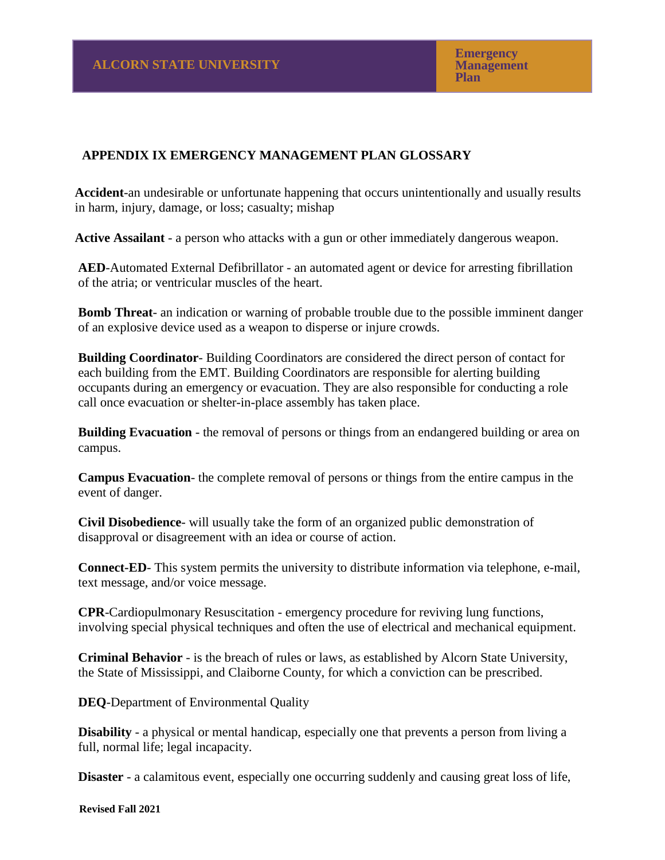# **APPENDIX IX EMERGENCY MANAGEMENT PLAN GLOSSARY**

**Accident**-an undesirable or unfortunate happening that occurs unintentionally and usually results in harm, injury, damage, or loss; casualty; mishap

**Active Assailant** - a person who attacks with a gun or other immediately dangerous weapon.

 **AED**-Automated External Defibrillator - an automated agent or device for arresting fibrillation of the atria; or ventricular muscles of the heart.

**Bomb Threat**- an indication or warning of probable trouble due to the possible imminent danger of an explosive device used as a weapon to disperse or injure crowds.

**Building Coordinator**- Building Coordinators are considered the direct person of contact for each building from the EMT. Building Coordinators are responsible for alerting building occupants during an emergency or evacuation. They are also responsible for conducting a role call once evacuation or shelter-in-place assembly has taken place.

**Building Evacuation** - the removal of persons or things from an endangered building or area on campus.

**Campus Evacuation**- the complete removal of persons or things from the entire campus in the event of danger.

**Civil Disobedience**- will usually take the form of an organized public demonstration of disapproval or disagreement with an idea or course of action.

**Connect-ED**- This system permits the university to distribute information via telephone, e-mail, text message, and/or voice message.

**CPR**-Cardiopulmonary Resuscitation - emergency procedure for reviving lung functions, involving special physical techniques and often the use of electrical and mechanical equipment.

**Criminal Behavior** - is the breach of rules or laws, as established by Alcorn State University, the State of Mississippi, and Claiborne County, for which a conviction can be prescribed.

**DEQ**-Department of Environmental Quality

**Disability** - a physical or mental handicap, especially one that prevents a person from living a full, normal life; legal incapacity.

**Disaster** - a calamitous event, especially one occurring suddenly and causing great loss of life,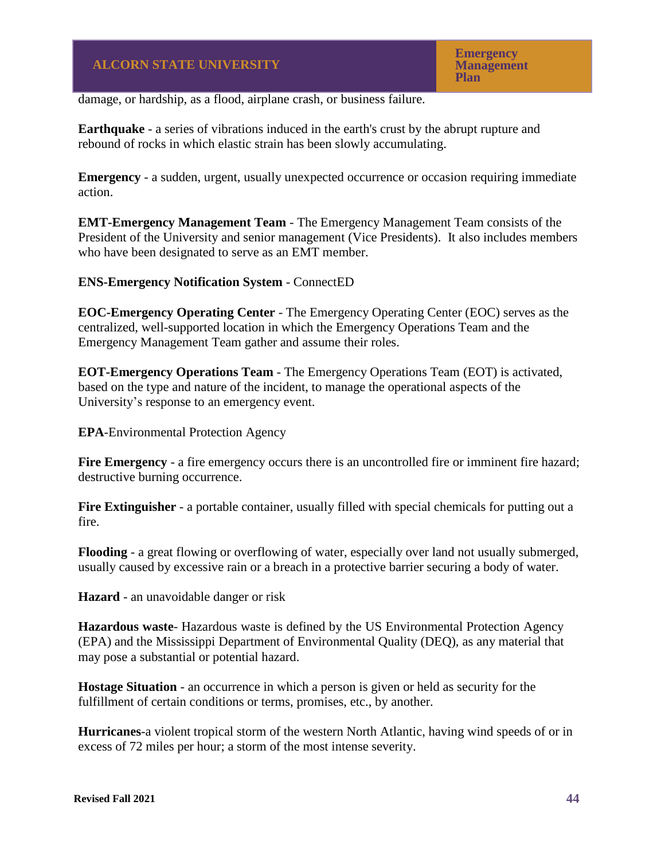damage, or hardship, as a flood, airplane crash, or business failure.

**Earthquake** - a series of vibrations induced in the earth's crust by the abrupt rupture and rebound of rocks in which elastic strain has been slowly accumulating.

**Emergency** - a sudden, urgent, usually unexpected occurrence or occasion requiring immediate action.

**EMT-Emergency Management Team** - The Emergency Management Team consists of the President of the University and senior management (Vice Presidents). It also includes members who have been designated to serve as an EMT member.

## **ENS-Emergency Notification System** - ConnectED

**EOC-Emergency Operating Center** - The Emergency Operating Center (EOC) serves as the centralized, well-supported location in which the Emergency Operations Team and the Emergency Management Team gather and assume their roles.

**EOT-Emergency Operations Team** - The Emergency Operations Team (EOT) is activated, based on the type and nature of the incident, to manage the operational aspects of the University's response to an emergency event.

**EPA**-Environmental Protection Agency

**Fire Emergency** - a fire emergency occurs there is an uncontrolled fire or imminent fire hazard; destructive burning occurrence.

**Fire Extinguisher** - a portable container, usually filled with special chemicals for putting out a fire.

**Flooding** - a great flowing or overflowing of water, especially over land not usually submerged, usually caused by excessive rain or a breach in a protective barrier securing a body of water.

**Hazard** - an unavoidable danger or risk

**Hazardous waste**- Hazardous waste is defined by the US Environmental Protection Agency (EPA) and the Mississippi Department of Environmental Quality (DEQ), as any material that may pose a substantial or potential hazard.

**Hostage Situation** - an occurrence in which a person is given or held as security for the fulfillment of certain conditions or terms, promises, etc., by another.

**Hurricanes**-a violent tropical storm of the western North Atlantic, having wind speeds of or in excess of 72 miles per hour; a storm of the most intense severity.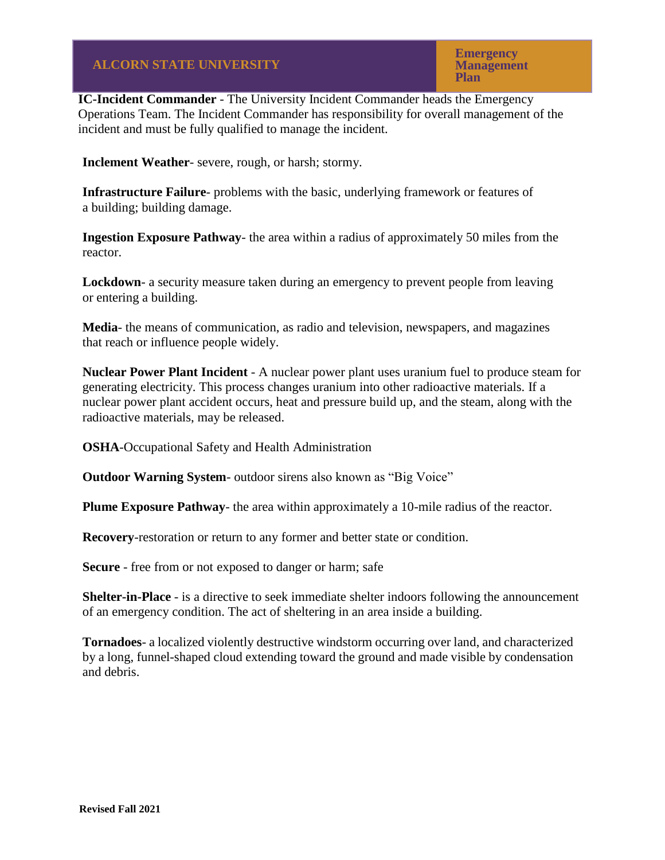**IC-Incident Commander** - The University Incident Commander heads the Emergency Operations Team. The Incident Commander has responsibility for overall management of the incident and must be fully qualified to manage the incident.

**Inclement Weather**- severe, rough, or harsh; stormy.

**Infrastructure Failure**- problems with the basic, underlying framework or features of a building; building damage.

**Ingestion Exposure Pathway**- the area within a radius of approximately 50 miles from the reactor.

**Lockdown**- a security measure taken during an emergency to prevent people from leaving or entering a building.

**Media**- the means of communication, as radio and television, newspapers, and magazines that reach or influence people widely.

**Nuclear Power Plant Incident** - A nuclear power plant uses uranium fuel to produce steam for generating electricity. This process changes uranium into other radioactive materials. If a nuclear power plant accident occurs, heat and pressure build up, and the steam, along with the radioactive materials, may be released.

**OSHA**-Occupational Safety and Health Administration

**Outdoor Warning System**- outdoor sirens also known as "Big Voice"

**Plume Exposure Pathway**- the area within approximately a 10-mile radius of the reactor.

**Recovery**-restoration or return to any former and better state or condition.

**Secure** - free from or not exposed to danger or harm; safe

**Shelter-in-Place** - is a directive to seek immediate shelter indoors following the announcement of an emergency condition. The act of sheltering in an area inside a building.

**Tornadoes**- a localized violently destructive windstorm occurring over land, and characterized by a long, funnel-shaped cloud extending toward the ground and made visible by condensation and debris.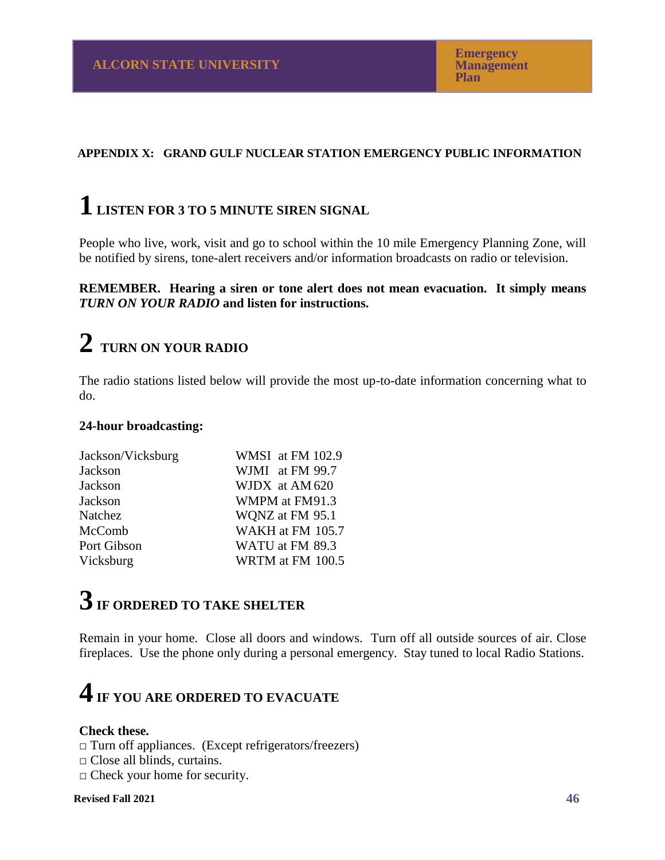## **APPENDIX X: GRAND GULF NUCLEAR STATION EMERGENCY PUBLIC INFORMATION**

# **1 LISTEN FOR 3 TO 5 MINUTE SIREN SIGNAL**

People who live, work, visit and go to school within the 10 mile Emergency Planning Zone, will be notified by sirens, tone-alert receivers and/or information broadcasts on radio or television.

## **REMEMBER. Hearing a siren or tone alert does not mean evacuation. It simply means** *TURN ON YOUR RADIO* **and listen for instructions.**

# **2 TURN ON YOUR RADIO**

The radio stations listed below will provide the most up-to-date information concerning what to do.

## **24-hour broadcasting:**

| Jackson/Vicksburg | WMSI at FM 102.9 |
|-------------------|------------------|
| Jackson           | WJMI at FM 99.7  |
| Jackson           | WJDX at AM 620   |
| Jackson           | WMPM at FM91.3   |
| Natchez           | WQNZ at FM 95.1  |
| McComb            | WAKH at FM 105.7 |
| Port Gibson       | WATU at FM 89.3  |
| Vicksburg         | WRTM at FM 100.5 |

# **3IF ORDERED TO TAKE SHELTER**

Remain in your home. Close all doors and windows. Turn off all outside sources of air. Close fireplaces. Use the phone only during a personal emergency. Stay tuned to local Radio Stations.

# **4IF YOU ARE ORDERED TO EVACUATE**

## **Check these.**

 $\Box$  Turn off appliances. (Except refrigerators/freezers)

- □ Close all blinds, curtains.
- $\Box$  Check your home for security.

#### **Revised Fall 2021**